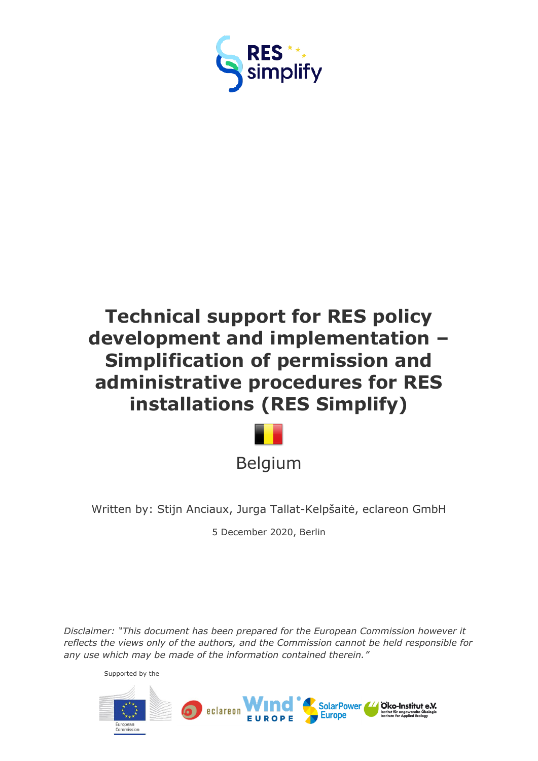

# **Technical support for RES policy development and implementation – Simplification of permission and administrative procedures for RES installations (RES Simplify)**



Written by: Stijn Anciaux, Jurga Tallat-Kelpšaitė, eclareon GmbH

5 December 2020, Berlin

*Disclaimer: "This document has been prepared for the European Commission however it reflects the views only of the authors, and the Commission cannot be held responsible for any use which may be made of the information contained therein."*

Supported by the

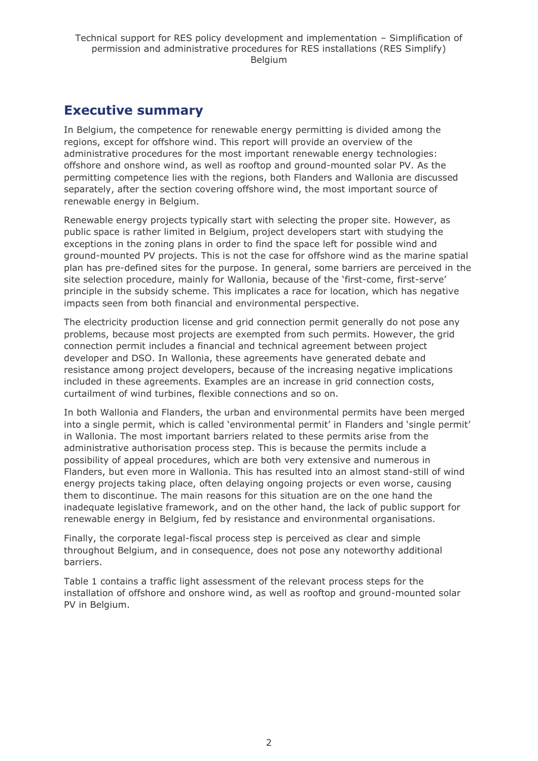## <span id="page-1-0"></span>**Executive summary**

In Belgium, the competence for renewable energy permitting is divided among the regions, except for offshore wind. This report will provide an overview of the administrative procedures for the most important renewable energy technologies: offshore and onshore wind, as well as rooftop and ground-mounted solar PV. As the permitting competence lies with the regions, both Flanders and Wallonia are discussed separately, after the section covering offshore wind, the most important source of renewable energy in Belgium.

Renewable energy projects typically start with selecting the proper site. However, as public space is rather limited in Belgium, project developers start with studying the exceptions in the zoning plans in order to find the space left for possible wind and ground-mounted PV projects. This is not the case for offshore wind as the marine spatial plan has pre-defined sites for the purpose. In general, some barriers are perceived in the site selection procedure, mainly for Wallonia, because of the 'first-come, first-serve' principle in the subsidy scheme. This implicates a race for location, which has negative impacts seen from both financial and environmental perspective.

The electricity production license and grid connection permit generally do not pose any problems, because most projects are exempted from such permits. However, the grid connection permit includes a financial and technical agreement between project developer and DSO. In Wallonia, these agreements have generated debate and resistance among project developers, because of the increasing negative implications included in these agreements. Examples are an increase in grid connection costs, curtailment of wind turbines, flexible connections and so on.

In both Wallonia and Flanders, the urban and environmental permits have been merged into a single permit, which is called 'environmental permit' in Flanders and 'single permit' in Wallonia. The most important barriers related to these permits arise from the administrative authorisation process step. This is because the permits include a possibility of appeal procedures, which are both very extensive and numerous in Flanders, but even more in Wallonia. This has resulted into an almost stand-still of wind energy projects taking place, often delaying ongoing projects or even worse, causing them to discontinue. The main reasons for this situation are on the one hand the inadequate legislative framework, and on the other hand, the lack of public support for renewable energy in Belgium, fed by resistance and environmental organisations.

Finally, the corporate legal-fiscal process step is perceived as clear and simple throughout Belgium, and in consequence, does not pose any noteworthy additional barriers.

Table 1 contains a traffic light assessment of the relevant process steps for the installation of offshore and onshore wind, as well as rooftop and ground-mounted solar PV in Belgium.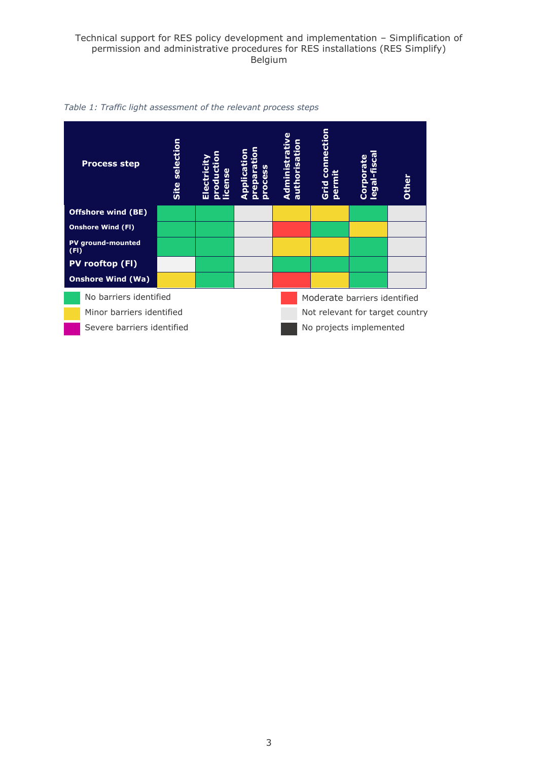

*Table 1: Traffic light assessment of the relevant process steps*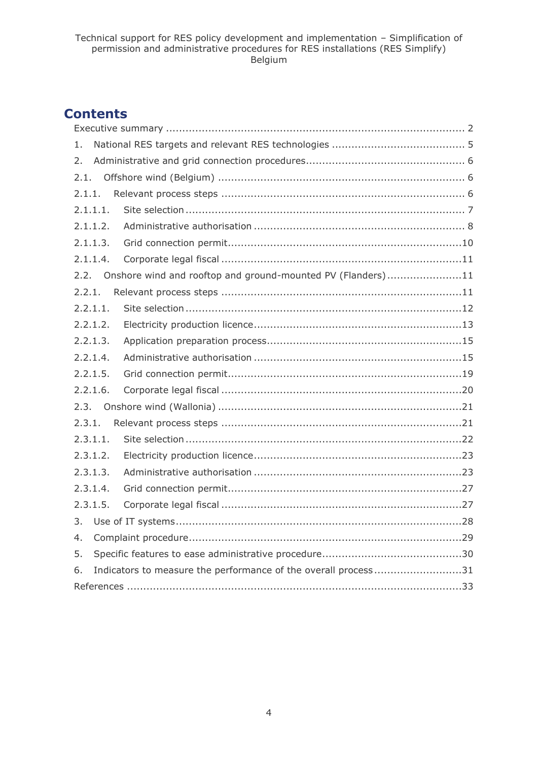## **Contents**

| 1.                                                                   |
|----------------------------------------------------------------------|
| 2.                                                                   |
| 2.1.                                                                 |
| 2.1.1.                                                               |
| 2.1.1.1.                                                             |
| 2.1.1.2.                                                             |
| 2.1.1.3.                                                             |
| 2.1.1.4.                                                             |
| Onshore wind and rooftop and ground-mounted PV (Flanders)11<br>2.2.  |
| 2.2.1.                                                               |
| 2.2.1.1.                                                             |
| 2.2.1.2.                                                             |
| 2.2.1.3.                                                             |
| 2.2.1.4.                                                             |
| 2.2.1.5.                                                             |
| 2.2.1.6.                                                             |
| 2.3.                                                                 |
| 2.3.1.                                                               |
| 2.3.1.1.                                                             |
| 2.3.1.2.                                                             |
| 2.3.1.3.                                                             |
| 2.3.1.4.                                                             |
| 2.3.1.5.                                                             |
| 3.                                                                   |
| 4.                                                                   |
| 5.                                                                   |
| Indicators to measure the performance of the overall process31<br>6. |
|                                                                      |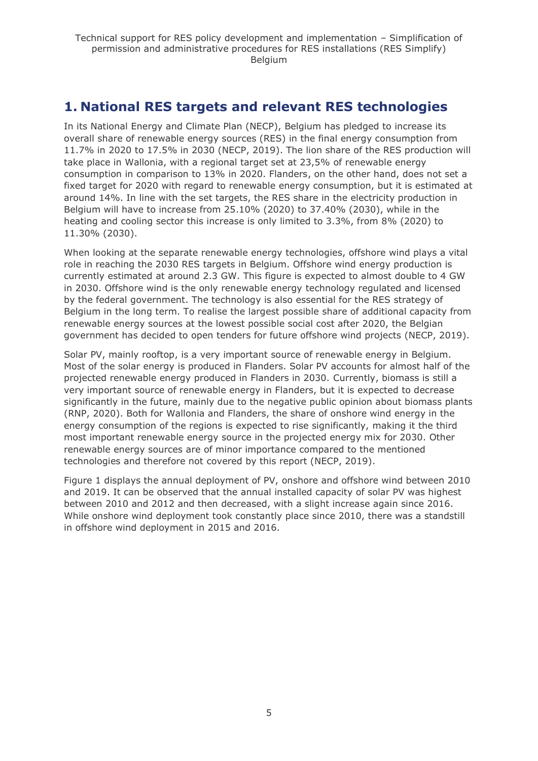## <span id="page-4-0"></span>**1. National RES targets and relevant RES technologies**

In its National Energy and Climate Plan (NECP), Belgium has pledged to increase its overall share of renewable energy sources (RES) in the final energy consumption from 11.7% in 2020 to 17.5% in 2030 (NECP, 2019). The lion share of the RES production will take place in Wallonia, with a regional target set at 23,5% of renewable energy consumption in comparison to 13% in 2020. Flanders, on the other hand, does not set a fixed target for 2020 with regard to renewable energy consumption, but it is estimated at around 14%. In line with the set targets, the RES share in the electricity production in Belgium will have to increase from 25.10% (2020) to 37.40% (2030), while in the heating and cooling sector this increase is only limited to 3.3%, from 8% (2020) to 11.30% (2030).

When looking at the separate renewable energy technologies, offshore wind plays a vital role in reaching the 2030 RES targets in Belgium. Offshore wind energy production is currently estimated at around 2.3 GW. This figure is expected to almost double to 4 GW in 2030. Offshore wind is the only renewable energy technology regulated and licensed by the federal government. The technology is also essential for the RES strategy of Belgium in the long term. To realise the largest possible share of additional capacity from renewable energy sources at the lowest possible social cost after 2020, the Belgian government has decided to open tenders for future offshore wind projects (NECP, 2019).

Solar PV, mainly rooftop, is a very important source of renewable energy in Belgium. Most of the solar energy is produced in Flanders. Solar PV accounts for almost half of the projected renewable energy produced in Flanders in 2030. Currently, biomass is still a very important source of renewable energy in Flanders, but it is expected to decrease significantly in the future, mainly due to the negative public opinion about biomass plants (RNP, 2020). Both for Wallonia and Flanders, the share of onshore wind energy in the energy consumption of the regions is expected to rise significantly, making it the third most important renewable energy source in the projected energy mix for 2030. Other renewable energy sources are of minor importance compared to the mentioned technologies and therefore not covered by this report (NECP, 2019).

Figure 1 displays the annual deployment of PV, onshore and offshore wind between 2010 and 2019. It can be observed that the annual installed capacity of solar PV was highest between 2010 and 2012 and then decreased, with a slight increase again since 2016. While onshore wind deployment took constantly place since 2010, there was a standstill in offshore wind deployment in 2015 and 2016.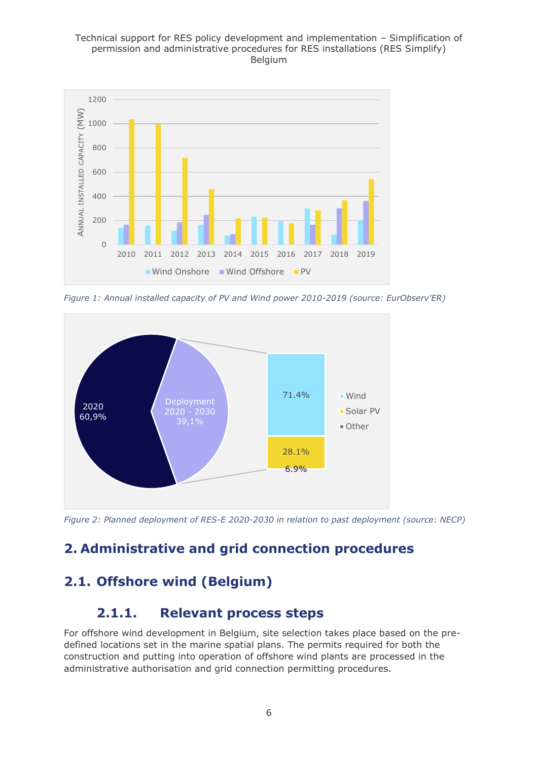#### Technical support for RES policy development and implementation – Simplification of permission and administrative procedures for RES installations (RES Simplify) Belgium



*Figure 1: Annual installed capacity of PV and Wind power 2010-2019 (source: EurObserv'ER)*



*Figure 2: Planned deployment of RES-E 2020-2030 in relation to past deployment (source: NECP)*

## <span id="page-5-0"></span>**2. Administrative and grid connection procedures**

## <span id="page-5-1"></span>**2.1. Offshore wind (Belgium)**

## <span id="page-5-2"></span>**2.1.1. Relevant process steps**

For offshore wind development in Belgium, site selection takes place based on the predefined locations set in the marine spatial plans. The permits required for both the construction and putting into operation of offshore wind plants are processed in the administrative authorisation and grid connection permitting procedures.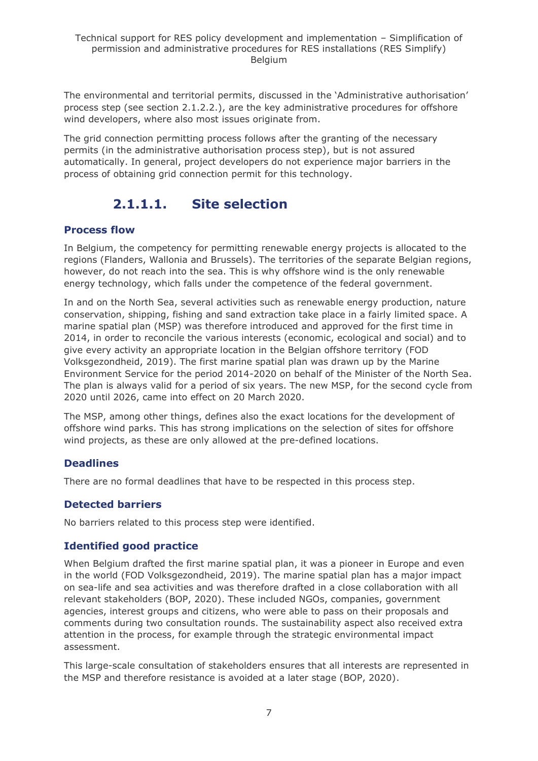The environmental and territorial permits, discussed in the 'Administrative authorisation' process step (see section 2.1.2.2.), are the key administrative procedures for offshore wind developers, where also most issues originate from.

The grid connection permitting process follows after the granting of the necessary permits (in the administrative authorisation process step), but is not assured automatically. In general, project developers do not experience major barriers in the process of obtaining grid connection permit for this technology.

## **2.1.1.1. Site selection**

### <span id="page-6-0"></span>**Process flow**

In Belgium, the competency for permitting renewable energy projects is allocated to the regions (Flanders, Wallonia and Brussels). The territories of the separate Belgian regions, however, do not reach into the sea. This is why offshore wind is the only renewable energy technology, which falls under the competence of the federal government.

In and on the North Sea, several activities such as renewable energy production, nature conservation, shipping, fishing and sand extraction take place in a fairly limited space. A marine spatial plan (MSP) was therefore introduced and approved for the first time in 2014, in order to reconcile the various interests (economic, ecological and social) and to give every activity an appropriate location in the Belgian offshore territory (FOD Volksgezondheid, 2019). The first marine spatial plan was drawn up by the Marine Environment Service for the period 2014-2020 on behalf of the Minister of the North Sea. The plan is always valid for a period of six years. The new MSP, for the second cycle from 2020 until 2026, came into effect on 20 March 2020.

The MSP, among other things, defines also the exact locations for the development of offshore wind parks. This has strong implications on the selection of sites for offshore wind projects, as these are only allowed at the pre-defined locations.

### **Deadlines**

There are no formal deadlines that have to be respected in this process step.

### **Detected barriers**

No barriers related to this process step were identified.

### **Identified good practice**

When Belgium drafted the first marine spatial plan, it was a pioneer in Europe and even in the world (FOD Volksgezondheid, 2019). The marine spatial plan has a major impact on sea-life and sea activities and was therefore drafted in a close collaboration with all relevant stakeholders (BOP, 2020). These included NGOs, companies, government agencies, interest groups and citizens, who were able to pass on their proposals and comments during two consultation rounds. The sustainability aspect also received extra attention in the process, for example through the strategic environmental impact assessment.

This large-scale consultation of stakeholders ensures that all interests are represented in the MSP and therefore resistance is avoided at a later stage (BOP, 2020).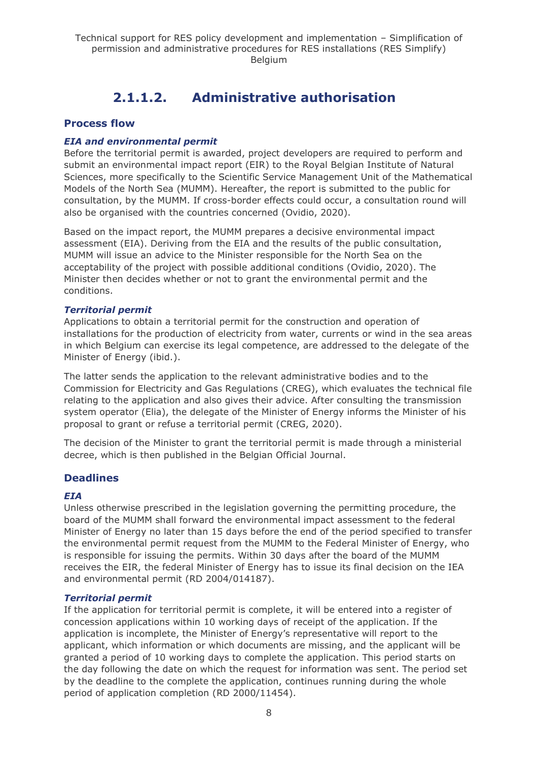## **2.1.1.2. Administrative authorisation**

#### <span id="page-7-0"></span>**Process flow**

#### *EIA and environmental permit*

Before the territorial permit is awarded, project developers are required to perform and submit an environmental impact report (EIR) to the Royal Belgian Institute of Natural Sciences, more specifically to the Scientific Service Management Unit of the Mathematical Models of the North Sea (MUMM). Hereafter, the report is submitted to the public for consultation, by the MUMM. If cross-border effects could occur, a consultation round will also be organised with the countries concerned (Ovidio, 2020).

Based on the impact report, the MUMM prepares a decisive environmental impact assessment (EIA). Deriving from the EIA and the results of the public consultation, MUMM will issue an advice to the Minister responsible for the North Sea on the acceptability of the project with possible additional conditions (Ovidio, 2020). The Minister then decides whether or not to grant the environmental permit and the conditions.

#### *Territorial permit*

Applications to obtain a territorial permit for the construction and operation of installations for the production of electricity from water, currents or wind in the sea areas in which Belgium can exercise its legal competence, are addressed to the delegate of the Minister of Energy (ibid.).

The latter sends the application to the relevant administrative bodies and to the Commission for Electricity and Gas Regulations (CREG), which evaluates the technical file relating to the application and also gives their advice. After consulting the transmission system operator (Elia), the delegate of the Minister of Energy informs the Minister of his proposal to grant or refuse a territorial permit (CREG, 2020).

The decision of the Minister to grant the territorial permit is made through a ministerial decree, which is then published in the Belgian Official Journal.

#### **Deadlines**

#### *EIA*

Unless otherwise prescribed in the legislation governing the permitting procedure, the board of the MUMM shall forward the environmental impact assessment to the federal Minister of Energy no later than 15 days before the end of the period specified to transfer the environmental permit request from the MUMM to the Federal Minister of Energy, who is responsible for issuing the permits. Within 30 days after the board of the MUMM receives the EIR, the federal Minister of Energy has to issue its final decision on the IEA and environmental permit (RD 2004/014187).

#### *Territorial permit*

If the application for territorial permit is complete, it will be entered into a register of concession applications within 10 working days of receipt of the application. If the application is incomplete, the Minister of Energy's representative will report to the applicant, which information or which documents are missing, and the applicant will be granted a period of 10 working days to complete the application. This period starts on the day following the date on which the request for information was sent. The period set by the deadline to the complete the application, continues running during the whole period of application completion (RD 2000/11454).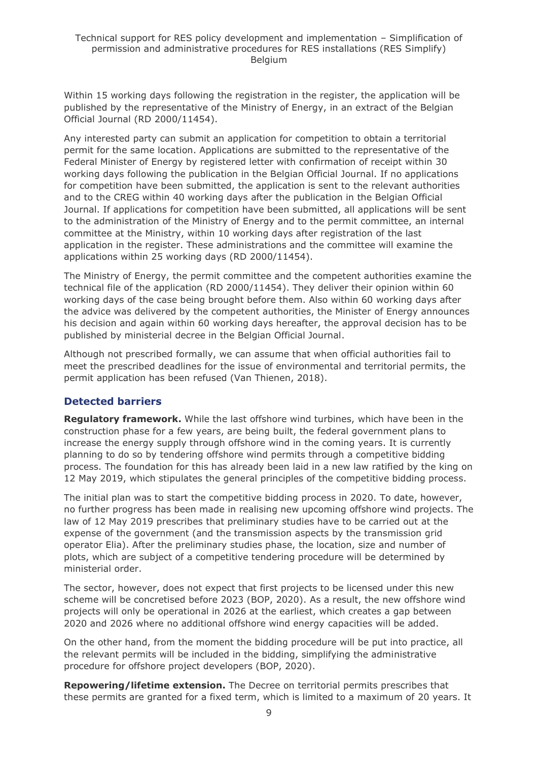Within 15 working days following the registration in the register, the application will be published by the representative of the Ministry of Energy, in an extract of the Belgian Official Journal (RD 2000/11454).

Any interested party can submit an application for competition to obtain a territorial permit for the same location. Applications are submitted to the representative of the Federal Minister of Energy by registered letter with confirmation of receipt within 30 working days following the publication in the Belgian Official Journal. If no applications for competition have been submitted, the application is sent to the relevant authorities and to the CREG within 40 working days after the publication in the Belgian Official Journal. If applications for competition have been submitted, all applications will be sent to the administration of the Ministry of Energy and to the permit committee, an internal committee at the Ministry, within 10 working days after registration of the last application in the register. These administrations and the committee will examine the applications within 25 working days (RD 2000/11454).

The Ministry of Energy, the permit committee and the competent authorities examine the technical file of the application (RD 2000/11454). They deliver their opinion within 60 working days of the case being brought before them. Also within 60 working days after the advice was delivered by the competent authorities, the Minister of Energy announces his decision and again within 60 working days hereafter, the approval decision has to be published by ministerial decree in the Belgian Official Journal.

Although not prescribed formally, we can assume that when official authorities fail to meet the prescribed deadlines for the issue of environmental and territorial permits, the permit application has been refused (Van Thienen, 2018).

### **Detected barriers**

**Regulatory framework.** While the last offshore wind turbines, which have been in the construction phase for a few years, are being built, the federal government plans to increase the energy supply through offshore wind in the coming years. It is currently planning to do so by tendering offshore wind permits through a competitive bidding process. The foundation for this has already been laid in a new law ratified by the king on 12 May 2019, which stipulates the general principles of the competitive bidding process.

The initial plan was to start the competitive bidding process in 2020. To date, however, no further progress has been made in realising new upcoming offshore wind projects. The law of 12 May 2019 prescribes that preliminary studies have to be carried out at the expense of the government (and the transmission aspects by the transmission grid operator Elia). After the preliminary studies phase, the location, size and number of plots, which are subject of a competitive tendering procedure will be determined by ministerial order.

The sector, however, does not expect that first projects to be licensed under this new scheme will be concretised before 2023 (BOP, 2020). As a result, the new offshore wind projects will only be operational in 2026 at the earliest, which creates a gap between 2020 and 2026 where no additional offshore wind energy capacities will be added.

On the other hand, from the moment the bidding procedure will be put into practice, all the relevant permits will be included in the bidding, simplifying the administrative procedure for offshore project developers (BOP, 2020).

**Repowering/lifetime extension.** The Decree on territorial permits prescribes that these permits are granted for a fixed term, which is limited to a maximum of 20 years. It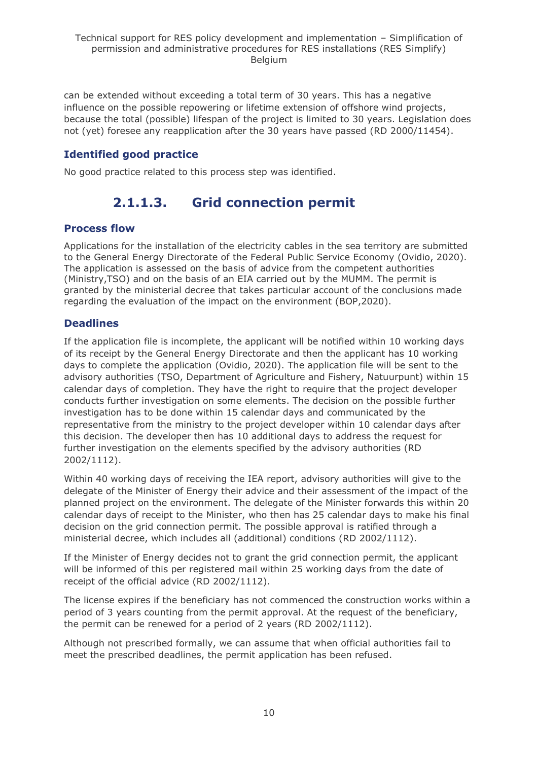can be extended without exceeding a total term of 30 years. This has a negative influence on the possible repowering or lifetime extension of offshore wind projects, because the total (possible) lifespan of the project is limited to 30 years. Legislation does not (yet) foresee any reapplication after the 30 years have passed (RD 2000/11454).

### **Identified good practice**

<span id="page-9-0"></span>No good practice related to this process step was identified.

## **2.1.1.3. Grid connection permit**

#### **Process flow**

Applications for the installation of the electricity cables in the sea territory are submitted to the General Energy Directorate of the Federal Public Service Economy (Ovidio, 2020). The application is assessed on the basis of advice from the competent authorities (Ministry,TSO) and on the basis of an EIA carried out by the MUMM. The permit is granted by the ministerial decree that takes particular account of the conclusions made regarding the evaluation of the impact on the environment (BOP,2020).

### **Deadlines**

If the application file is incomplete, the applicant will be notified within 10 working days of its receipt by the General Energy Directorate and then the applicant has 10 working days to complete the application (Ovidio, 2020). The application file will be sent to the advisory authorities (TSO, Department of Agriculture and Fishery, Natuurpunt) within 15 calendar days of completion. They have the right to require that the project developer conducts further investigation on some elements. The decision on the possible further investigation has to be done within 15 calendar days and communicated by the representative from the ministry to the project developer within 10 calendar days after this decision. The developer then has 10 additional days to address the request for further investigation on the elements specified by the advisory authorities (RD 2002/1112).

Within 40 working days of receiving the IEA report, advisory authorities will give to the delegate of the Minister of Energy their advice and their assessment of the impact of the planned project on the environment. The delegate of the Minister forwards this within 20 calendar days of receipt to the Minister, who then has 25 calendar days to make his final decision on the grid connection permit. The possible approval is ratified through a ministerial decree, which includes all (additional) conditions (RD 2002/1112).

If the Minister of Energy decides not to grant the grid connection permit, the applicant will be informed of this per registered mail within 25 working days from the date of receipt of the official advice (RD 2002/1112).

The license expires if the beneficiary has not commenced the construction works within a period of 3 years counting from the permit approval. At the request of the beneficiary, the permit can be renewed for a period of 2 years (RD 2002/1112).

Although not prescribed formally, we can assume that when official authorities fail to meet the prescribed deadlines, the permit application has been refused.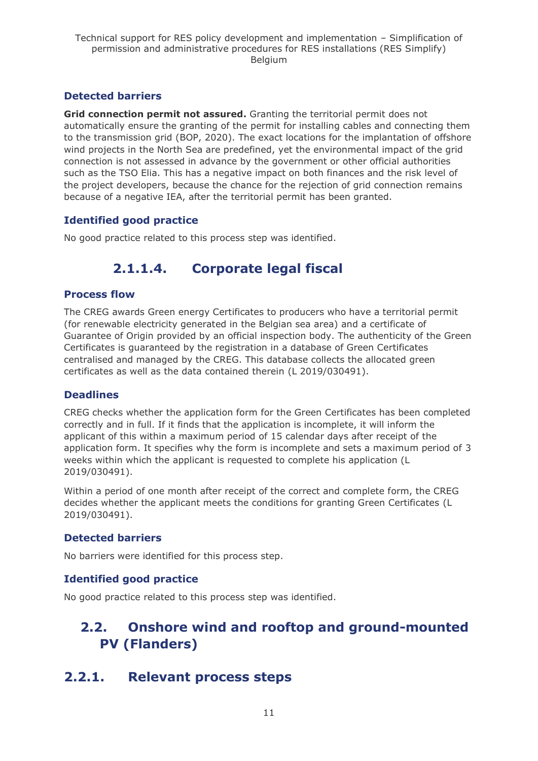### **Detected barriers**

**Grid connection permit not assured.** Granting the territorial permit does not automatically ensure the granting of the permit for installing cables and connecting them to the transmission grid (BOP, 2020). The exact locations for the implantation of offshore wind projects in the North Sea are predefined, yet the environmental impact of the grid connection is not assessed in advance by the government or other official authorities such as the TSO Elia. This has a negative impact on both finances and the risk level of the project developers, because the chance for the rejection of grid connection remains because of a negative IEA, after the territorial permit has been granted.

### **Identified good practice**

<span id="page-10-0"></span>No good practice related to this process step was identified.

## **2.1.1.4. Corporate legal fiscal**

### **Process flow**

The CREG awards Green energy Certificates to producers who have a territorial permit (for renewable electricity generated in the Belgian sea area) and a certificate of Guarantee of Origin provided by an official inspection body. The authenticity of the Green Certificates is guaranteed by the registration in a database of Green Certificates centralised and managed by the CREG. This database collects the allocated green certificates as well as the data contained therein (L 2019/030491).

#### **Deadlines**

CREG checks whether the application form for the Green Certificates has been completed correctly and in full. If it finds that the application is incomplete, it will inform the applicant of this within a maximum period of 15 calendar days after receipt of the application form. It specifies why the form is incomplete and sets a maximum period of 3 weeks within which the applicant is requested to complete his application (L 2019/030491).

Within a period of one month after receipt of the correct and complete form, the CREG decides whether the applicant meets the conditions for granting Green Certificates (L 2019/030491).

### **Detected barriers**

No barriers were identified for this process step.

### **Identified good practice**

No good practice related to this process step was identified.

## <span id="page-10-1"></span>**2.2. Onshore wind and rooftop and ground-mounted PV (Flanders)**

## <span id="page-10-2"></span>**2.2.1. Relevant process steps**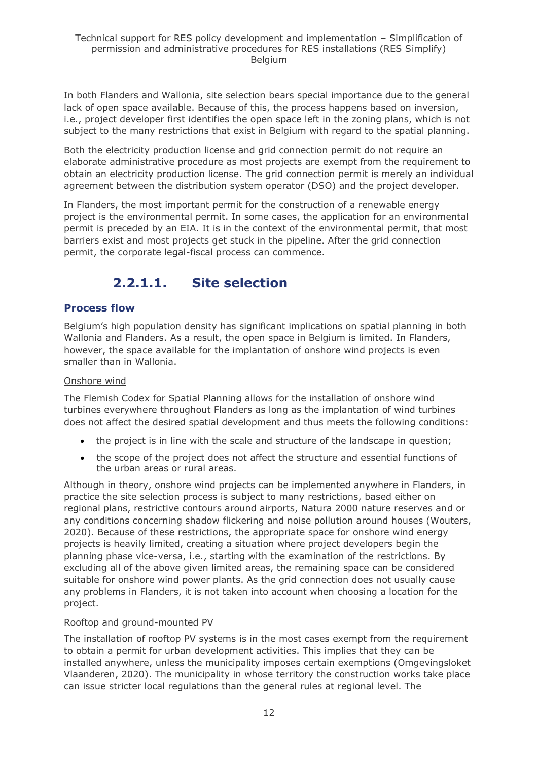In both Flanders and Wallonia, site selection bears special importance due to the general lack of open space available. Because of this, the process happens based on inversion, i.e., project developer first identifies the open space left in the zoning plans, which is not subject to the many restrictions that exist in Belgium with regard to the spatial planning.

Both the electricity production license and grid connection permit do not require an elaborate administrative procedure as most projects are exempt from the requirement to obtain an electricity production license. The grid connection permit is merely an individual agreement between the distribution system operator (DSO) and the project developer.

In Flanders, the most important permit for the construction of a renewable energy project is the environmental permit. In some cases, the application for an environmental permit is preceded by an EIA. It is in the context of the environmental permit, that most barriers exist and most projects get stuck in the pipeline. After the grid connection permit, the corporate legal-fiscal process can commence.

## **2.2.1.1. Site selection**

### <span id="page-11-0"></span>**Process flow**

Belgium's high population density has significant implications on spatial planning in both Wallonia and Flanders. As a result, the open space in Belgium is limited. In Flanders, however, the space available for the implantation of onshore wind projects is even smaller than in Wallonia.

#### Onshore wind

The Flemish Codex for Spatial Planning allows for the installation of onshore wind turbines everywhere throughout Flanders as long as the implantation of wind turbines does not affect the desired spatial development and thus meets the following conditions:

- the project is in line with the scale and structure of the landscape in question;
- the scope of the project does not affect the structure and essential functions of the urban areas or rural areas.

Although in theory, onshore wind projects can be implemented anywhere in Flanders, in practice the site selection process is subject to many restrictions, based either on regional plans, restrictive contours around airports, Natura 2000 nature reserves and or any conditions concerning shadow flickering and noise pollution around houses (Wouters, 2020). Because of these restrictions, the appropriate space for onshore wind energy projects is heavily limited, creating a situation where project developers begin the planning phase vice-versa, i.e., starting with the examination of the restrictions. By excluding all of the above given limited areas, the remaining space can be considered suitable for onshore wind power plants. As the grid connection does not usually cause any problems in Flanders, it is not taken into account when choosing a location for the project.

#### Rooftop and ground-mounted PV

The installation of rooftop PV systems is in the most cases exempt from the requirement to obtain a permit for urban development activities. This implies that they can be installed anywhere, unless the municipality imposes certain exemptions (Omgevingsloket Vlaanderen, 2020). The municipality in whose territory the construction works take place can issue stricter local regulations than the general rules at regional level. The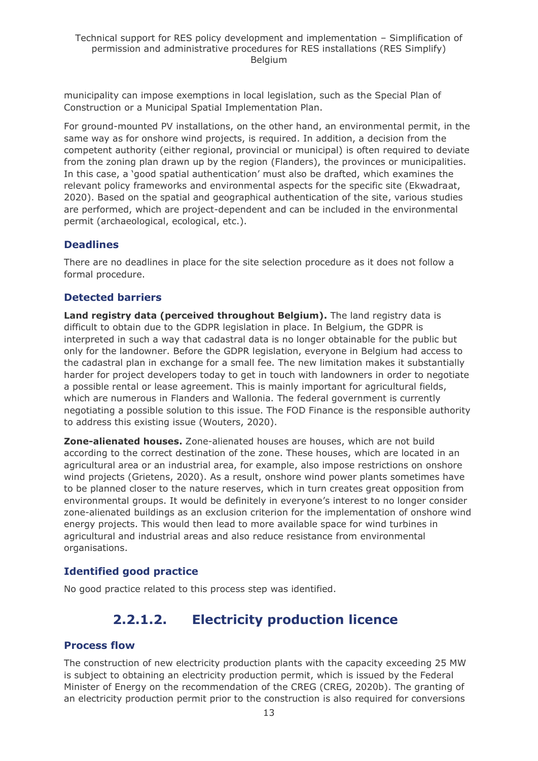municipality can impose exemptions in local legislation, such as the Special Plan of Construction or a Municipal Spatial Implementation Plan.

For ground-mounted PV installations, on the other hand, an environmental permit, in the same way as for onshore wind projects, is required. In addition, a decision from the competent authority (either regional, provincial or municipal) is often required to deviate from the zoning plan drawn up by the region (Flanders), the provinces or municipalities. In this case, a 'good spatial authentication' must also be drafted, which examines the relevant policy frameworks and environmental aspects for the specific site (Ekwadraat, 2020). Based on the spatial and geographical authentication of the site, various studies are performed, which are project-dependent and can be included in the environmental permit (archaeological, ecological, etc.).

#### **Deadlines**

There are no deadlines in place for the site selection procedure as it does not follow a formal procedure.

### **Detected barriers**

**Land registry data (perceived throughout Belgium).** The land registry data is difficult to obtain due to the GDPR legislation in place. In Belgium, the GDPR is interpreted in such a way that cadastral data is no longer obtainable for the public but only for the landowner. Before the GDPR legislation, everyone in Belgium had access to the cadastral plan in exchange for a small fee. The new limitation makes it substantially harder for project developers today to get in touch with landowners in order to negotiate a possible rental or lease agreement. This is mainly important for agricultural fields, which are numerous in Flanders and Wallonia. The federal government is currently negotiating a possible solution to this issue. The FOD Finance is the responsible authority to address this existing issue (Wouters, 2020).

**Zone-alienated houses.** Zone-alienated houses are houses, which are not build according to the correct destination of the zone. These houses, which are located in an agricultural area or an industrial area, for example, also impose restrictions on onshore wind projects (Grietens, 2020). As a result, onshore wind power plants sometimes have to be planned closer to the nature reserves, which in turn creates great opposition from environmental groups. It would be definitely in everyone's interest to no longer consider zone-alienated buildings as an exclusion criterion for the implementation of onshore wind energy projects. This would then lead to more available space for wind turbines in agricultural and industrial areas and also reduce resistance from environmental organisations.

### **Identified good practice**

<span id="page-12-0"></span>No good practice related to this process step was identified.

## **2.2.1.2. Electricity production licence**

#### **Process flow**

The construction of new electricity production plants with the capacity exceeding 25 MW is subject to obtaining an electricity production permit, which is issued by the Federal Minister of Energy on the recommendation of the CREG (CREG, 2020b). The granting of an electricity production permit prior to the construction is also required for conversions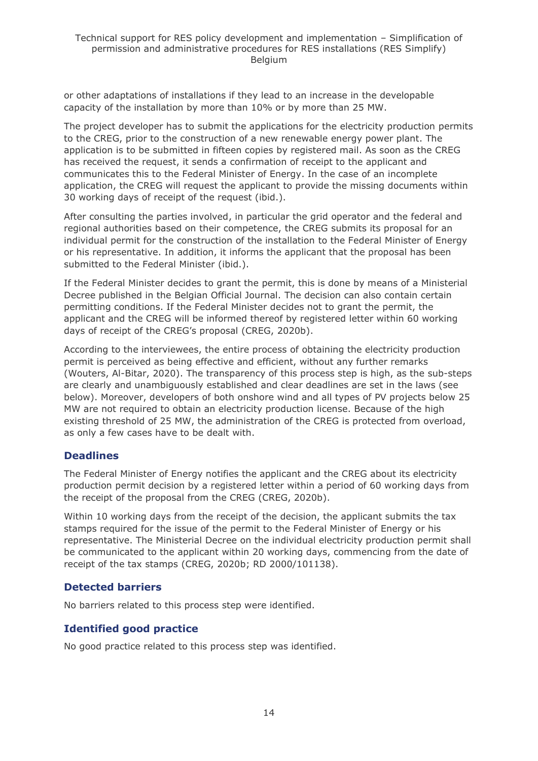or other adaptations of installations if they lead to an increase in the developable capacity of the installation by more than 10% or by more than 25 MW.

The project developer has to submit the applications for the electricity production permits to the CREG, prior to the construction of a new renewable energy power plant. The application is to be submitted in fifteen copies by registered mail. As soon as the CREG has received the request, it sends a confirmation of receipt to the applicant and communicates this to the Federal Minister of Energy. In the case of an incomplete application, the CREG will request the applicant to provide the missing documents within 30 working days of receipt of the request (ibid.).

After consulting the parties involved, in particular the grid operator and the federal and regional authorities based on their competence, the CREG submits its proposal for an individual permit for the construction of the installation to the Federal Minister of Energy or his representative. In addition, it informs the applicant that the proposal has been submitted to the Federal Minister (ibid.).

If the Federal Minister decides to grant the permit, this is done by means of a Ministerial Decree published in the Belgian Official Journal. The decision can also contain certain permitting conditions. If the Federal Minister decides not to grant the permit, the applicant and the CREG will be informed thereof by registered letter within 60 working days of receipt of the CREG's proposal (CREG, 2020b).

According to the interviewees, the entire process of obtaining the electricity production permit is perceived as being effective and efficient, without any further remarks (Wouters, Al-Bitar, 2020). The transparency of this process step is high, as the sub-steps are clearly and unambiguously established and clear deadlines are set in the laws (see below). Moreover, developers of both onshore wind and all types of PV projects below 25 MW are not required to obtain an electricity production license. Because of the high existing threshold of 25 MW, the administration of the CREG is protected from overload, as only a few cases have to be dealt with.

#### **Deadlines**

The Federal Minister of Energy notifies the applicant and the CREG about its electricity production permit decision by a registered letter within a period of 60 working days from the receipt of the proposal from the CREG (CREG, 2020b).

Within 10 working days from the receipt of the decision, the applicant submits the tax stamps required for the issue of the permit to the Federal Minister of Energy or his representative. The Ministerial Decree on the individual electricity production permit shall be communicated to the applicant within 20 working days, commencing from the date of receipt of the tax stamps (CREG, 2020b; RD 2000/101138).

#### **Detected barriers**

No barriers related to this process step were identified.

#### **Identified good practice**

No good practice related to this process step was identified.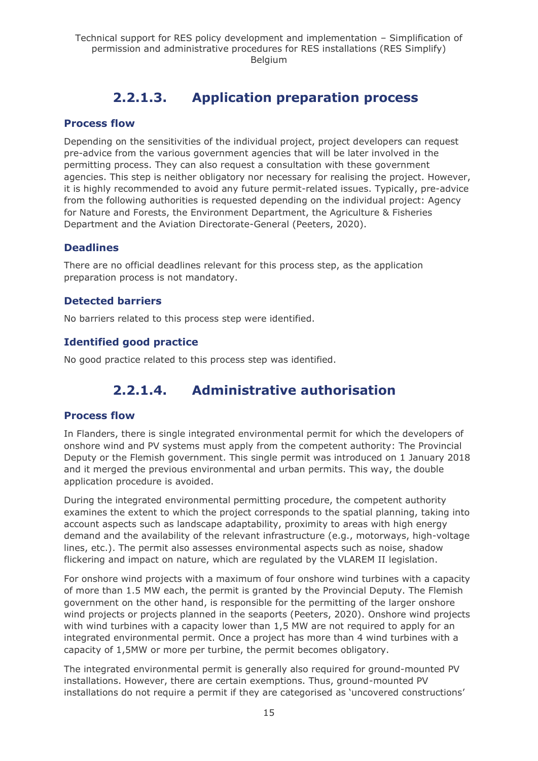## **2.2.1.3. Application preparation process**

#### <span id="page-14-0"></span>**Process flow**

Depending on the sensitivities of the individual project, project developers can request pre-advice from the various government agencies that will be later involved in the permitting process. They can also request a consultation with these government agencies. This step is neither obligatory nor necessary for realising the project. However, it is highly recommended to avoid any future permit-related issues. Typically, pre-advice from the following authorities is requested depending on the individual project: Agency for Nature and Forests, the Environment Department, the Agriculture & Fisheries Department and the Aviation Directorate-General (Peeters, 2020).

#### **Deadlines**

There are no official deadlines relevant for this process step, as the application preparation process is not mandatory.

#### **Detected barriers**

No barriers related to this process step were identified.

### **Identified good practice**

<span id="page-14-1"></span>No good practice related to this process step was identified.

## **2.2.1.4. Administrative authorisation**

#### **Process flow**

In Flanders, there is single integrated environmental permit for which the developers of onshore wind and PV systems must apply from the competent authority: The Provincial Deputy or the Flemish government. This single permit was introduced on 1 January 2018 and it merged the previous environmental and urban permits. This way, the double application procedure is avoided.

During the integrated environmental permitting procedure, the competent authority examines the extent to which the project corresponds to the spatial planning, taking into account aspects such as landscape adaptability, proximity to areas with high energy demand and the availability of the relevant infrastructure (e.g., motorways, high-voltage lines, etc.). The permit also assesses environmental aspects such as noise, shadow flickering and impact on nature, which are regulated by the VLAREM II legislation.

For onshore wind projects with a maximum of four onshore wind turbines with a capacity of more than 1.5 MW each, the permit is granted by the Provincial Deputy. The Flemish government on the other hand, is responsible for the permitting of the larger onshore wind projects or projects planned in the seaports (Peeters, 2020). Onshore wind projects with wind turbines with a capacity lower than 1,5 MW are not required to apply for an integrated environmental permit. Once a project has more than 4 wind turbines with a capacity of 1,5MW or more per turbine, the permit becomes obligatory.

The integrated environmental permit is generally also required for ground-mounted PV installations. However, there are certain exemptions. Thus, ground-mounted PV installations do not require a permit if they are categorised as 'uncovered constructions'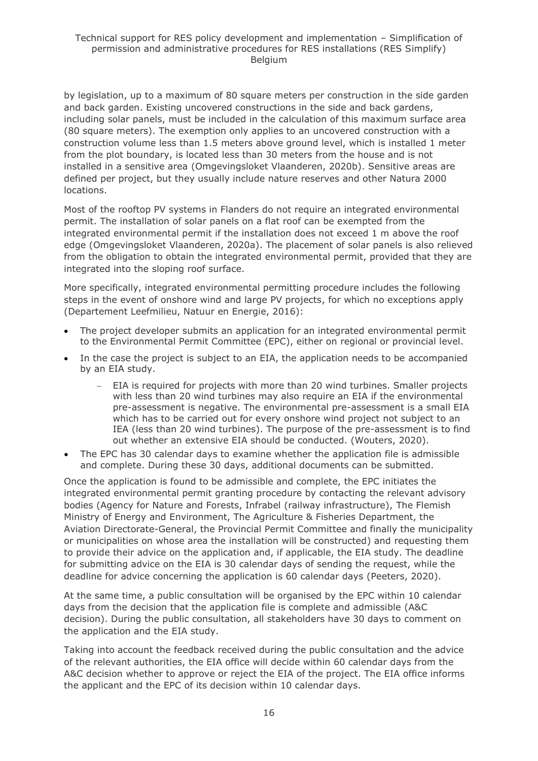by legislation, up to a maximum of 80 square meters per construction in the side garden and back garden. Existing uncovered constructions in the side and back gardens, including solar panels, must be included in the calculation of this maximum surface area (80 square meters). The exemption only applies to an uncovered construction with a construction volume less than 1.5 meters above ground level, which is installed 1 meter from the plot boundary, is located less than 30 meters from the house and is not installed in a sensitive area (Omgevingsloket Vlaanderen, 2020b). Sensitive areas are defined per project, but they usually include nature reserves and other Natura 2000 locations.

Most of the rooftop PV systems in Flanders do not require an integrated environmental permit. The installation of solar panels on a flat roof can be exempted from the integrated environmental permit if the installation does not exceed 1 m above the roof edge (Omgevingsloket Vlaanderen, 2020a). The placement of solar panels is also relieved from the obligation to obtain the integrated environmental permit, provided that they are integrated into the sloping roof surface.

More specifically, integrated environmental permitting procedure includes the following steps in the event of onshore wind and large PV projects, for which no exceptions apply (Departement Leefmilieu, Natuur en Energie, 2016):

- The project developer submits an application for an integrated environmental permit to the Environmental Permit Committee (EPC), either on regional or provincial level.
- In the case the project is subject to an EIA, the application needs to be accompanied by an EIA study.
	- EIA is required for projects with more than 20 wind turbines. Smaller projects with less than 20 wind turbines may also require an EIA if the environmental pre-assessment is negative. The environmental pre-assessment is a small EIA which has to be carried out for every onshore wind project not subject to an IEA (less than 20 wind turbines). The purpose of the pre-assessment is to find out whether an extensive EIA should be conducted. (Wouters, 2020).
- The EPC has 30 calendar days to examine whether the application file is admissible and complete. During these 30 days, additional documents can be submitted.

Once the application is found to be admissible and complete, the EPC initiates the integrated environmental permit granting procedure by contacting the relevant advisory bodies (Agency for Nature and Forests, Infrabel (railway infrastructure), The Flemish Ministry of Energy and Environment, The Agriculture & Fisheries Department, the Aviation Directorate-General, the Provincial Permit Committee and finally the municipality or municipalities on whose area the installation will be constructed) and requesting them to provide their advice on the application and, if applicable, the EIA study. The deadline for submitting advice on the EIA is 30 calendar days of sending the request, while the deadline for advice concerning the application is 60 calendar days (Peeters, 2020).

At the same time, a public consultation will be organised by the EPC within 10 calendar days from the decision that the application file is complete and admissible (A&C decision). During the public consultation, all stakeholders have 30 days to comment on the application and the EIA study.

Taking into account the feedback received during the public consultation and the advice of the relevant authorities, the EIA office will decide within 60 calendar days from the A&C decision whether to approve or reject the EIA of the project. The EIA office informs the applicant and the EPC of its decision within 10 calendar days.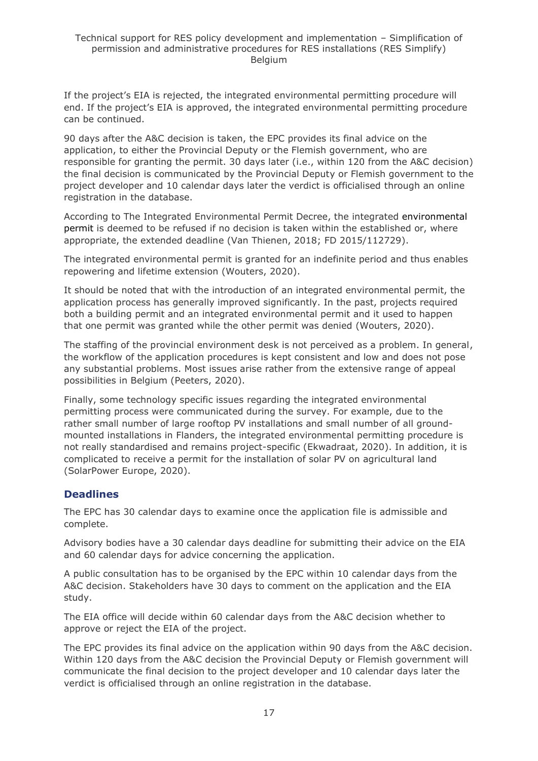If the project's EIA is rejected, the integrated environmental permitting procedure will end. If the project's EIA is approved, the integrated environmental permitting procedure can be continued.

90 days after the A&C decision is taken, the EPC provides its final advice on the application, to either the Provincial Deputy or the Flemish government, who are responsible for granting the permit. 30 days later (i.e., within 120 from the A&C decision) the final decision is communicated by the Provincial Deputy or Flemish government to the project developer and 10 calendar days later the verdict is officialised through an online registration in the database.

According to The Integrated Environmental Permit Decree, the integrated environmental permit is deemed to be refused if no decision is taken within the established or, where appropriate, the extended deadline (Van Thienen, 2018; FD 2015/112729).

The integrated environmental permit is granted for an indefinite period and thus enables repowering and lifetime extension (Wouters, 2020).

It should be noted that with the introduction of an integrated environmental permit, the application process has generally improved significantly. In the past, projects required both a building permit and an integrated environmental permit and it used to happen that one permit was granted while the other permit was denied (Wouters, 2020).

The staffing of the provincial environment desk is not perceived as a problem. In general, the workflow of the application procedures is kept consistent and low and does not pose any substantial problems. Most issues arise rather from the extensive range of appeal possibilities in Belgium (Peeters, 2020).

Finally, some technology specific issues regarding the integrated environmental permitting process were communicated during the survey. For example, due to the rather small number of large rooftop PV installations and small number of all groundmounted installations in Flanders, the integrated environmental permitting procedure is not really standardised and remains project-specific (Ekwadraat, 2020). In addition, it is complicated to receive a permit for the installation of solar PV on agricultural land (SolarPower Europe, 2020).

#### **Deadlines**

The EPC has 30 calendar days to examine once the application file is admissible and complete.

Advisory bodies have a 30 calendar days deadline for submitting their advice on the EIA and 60 calendar days for advice concerning the application.

A public consultation has to be organised by the EPC within 10 calendar days from the A&C decision. Stakeholders have 30 days to comment on the application and the EIA study.

The EIA office will decide within 60 calendar days from the A&C decision whether to approve or reject the EIA of the project.

The EPC provides its final advice on the application within 90 days from the A&C decision. Within 120 days from the A&C decision the Provincial Deputy or Flemish government will communicate the final decision to the project developer and 10 calendar days later the verdict is officialised through an online registration in the database.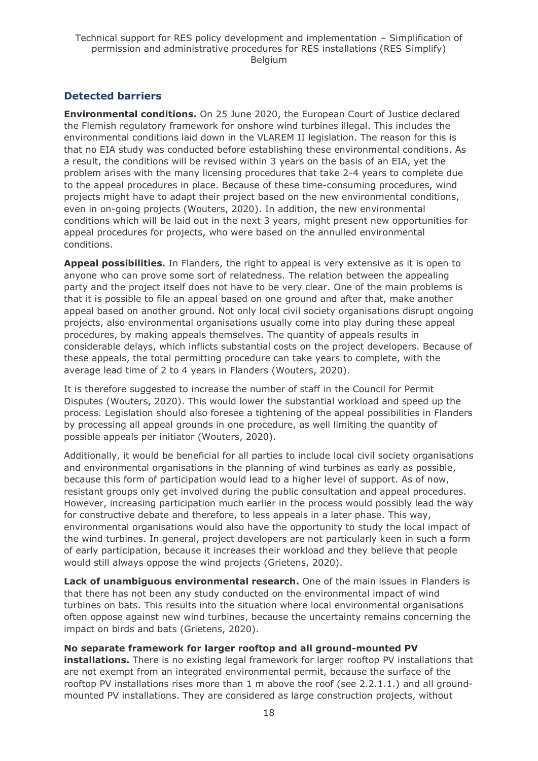### **Detected barriers**

**Environmental conditions.** On 25 June 2020, the European Court of Justice declared the Flemish regulatory framework for onshore wind turbines illegal. This includes the environmental conditions laid down in the VLAREM II legislation. The reason for this is that no EIA study was conducted before establishing these environmental conditions. As a result, the conditions will be revised within 3 years on the basis of an EIA, yet the problem arises with the many licensing procedures that take 2-4 years to complete due to the appeal procedures in place. Because of these time-consuming procedures, wind projects might have to adapt their project based on the new environmental conditions, even in on-going projects (Wouters, 2020). In addition, the new environmental conditions which will be laid out in the next 3 years, might present new opportunities for appeal procedures for projects, who were based on the annulled environmental conditions.

**Appeal possibilities.** In Flanders, the right to appeal is very extensive as it is open to anyone who can prove some sort of relatedness. The relation between the appealing party and the project itself does not have to be very clear. One of the main problems is that it is possible to file an appeal based on one ground and after that, make another appeal based on another ground. Not only local civil society organisations disrupt ongoing projects, also environmental organisations usually come into play during these appeal procedures, by making appeals themselves. The quantity of appeals results in considerable delays, which inflicts substantial costs on the project developers. Because of these appeals, the total permitting procedure can take years to complete, with the average lead time of 2 to 4 years in Flanders (Wouters, 2020).

It is therefore suggested to increase the number of staff in the Council for Permit Disputes (Wouters, 2020). This would lower the substantial workload and speed up the process. Legislation should also foresee a tightening of the appeal possibilities in Flanders by processing all appeal grounds in one procedure, as well limiting the quantity of possible appeals per initiator (Wouters, 2020).

Additionally, it would be beneficial for all parties to include local civil society organisations and environmental organisations in the planning of wind turbines as early as possible, because this form of participation would lead to a higher level of support. As of now, resistant groups only get involved during the public consultation and appeal procedures. However, increasing participation much earlier in the process would possibly lead the way for constructive debate and therefore, to less appeals in a later phase. This way, environmental organisations would also have the opportunity to study the local impact of the wind turbines. In general, project developers are not particularly keen in such a form of early participation, because it increases their workload and they believe that people would still always oppose the wind projects (Grietens, 2020).

**Lack of unambiguous environmental research.** One of the main issues in Flanders is that there has not been any study conducted on the environmental impact of wind turbines on bats. This results into the situation where local environmental organisations often oppose against new wind turbines, because the uncertainty remains concerning the impact on birds and bats (Grietens, 2020).

#### **No separate framework for larger rooftop and all ground-mounted PV**

**installations.** There is no existing legal framework for larger rooftop PV installations that are not exempt from an integrated environmental permit, because the surface of the rooftop PV installations rises more than 1 m above the roof (see 2.2.1.1.) and all groundmounted PV installations. They are considered as large construction projects, without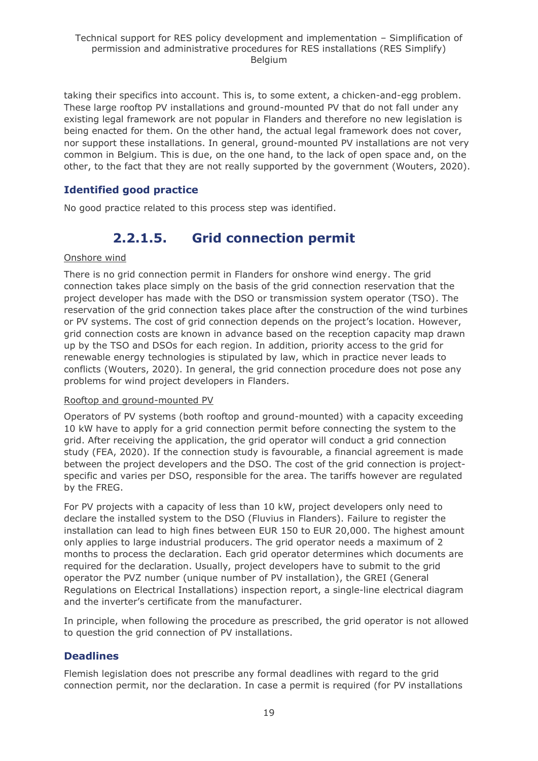taking their specifics into account. This is, to some extent, a chicken-and-egg problem. These large rooftop PV installations and ground-mounted PV that do not fall under any existing legal framework are not popular in Flanders and therefore no new legislation is being enacted for them. On the other hand, the actual legal framework does not cover, nor support these installations. In general, ground-mounted PV installations are not very common in Belgium. This is due, on the one hand, to the lack of open space and, on the other, to the fact that they are not really supported by the government (Wouters, 2020).

### **Identified good practice**

<span id="page-18-0"></span>No good practice related to this process step was identified.

## **2.2.1.5. Grid connection permit**

#### Onshore wind

There is no grid connection permit in Flanders for onshore wind energy. The grid connection takes place simply on the basis of the grid connection reservation that the project developer has made with the DSO or transmission system operator (TSO). The reservation of the grid connection takes place after the construction of the wind turbines or PV systems. The cost of grid connection depends on the project's location. However, grid connection costs are known in advance based on the reception capacity map drawn up by the TSO and DSOs for each region. In addition, priority access to the grid for renewable energy technologies is stipulated by law, which in practice never leads to conflicts (Wouters, 2020). In general, the grid connection procedure does not pose any problems for wind project developers in Flanders.

#### Rooftop and ground-mounted PV

Operators of PV systems (both rooftop and ground-mounted) with a capacity exceeding 10 kW have to apply for a grid connection permit before connecting the system to the grid. After receiving the application, the grid operator will conduct a grid connection study (FEA, 2020). If the connection study is favourable, a financial agreement is made between the project developers and the DSO. The cost of the grid connection is projectspecific and varies per DSO, responsible for the area. The tariffs however are regulated by the FREG.

For PV projects with a capacity of less than 10 kW, project developers only need to declare the installed system to the DSO (Fluvius in Flanders). Failure to register the installation can lead to high fines between EUR 150 to EUR 20,000. The highest amount only applies to large industrial producers. The grid operator needs a maximum of 2 months to process the declaration. Each grid operator determines which documents are required for the declaration. Usually, project developers have to submit to the grid operator the PVZ number (unique number of PV installation), the GREI (General Regulations on Electrical Installations) inspection report, a single-line electrical diagram and the inverter's certificate from the manufacturer.

In principle, when following the procedure as prescribed, the grid operator is not allowed to question the grid connection of PV installations.

#### **Deadlines**

Flemish legislation does not prescribe any formal deadlines with regard to the grid connection permit, nor the declaration. In case a permit is required (for PV installations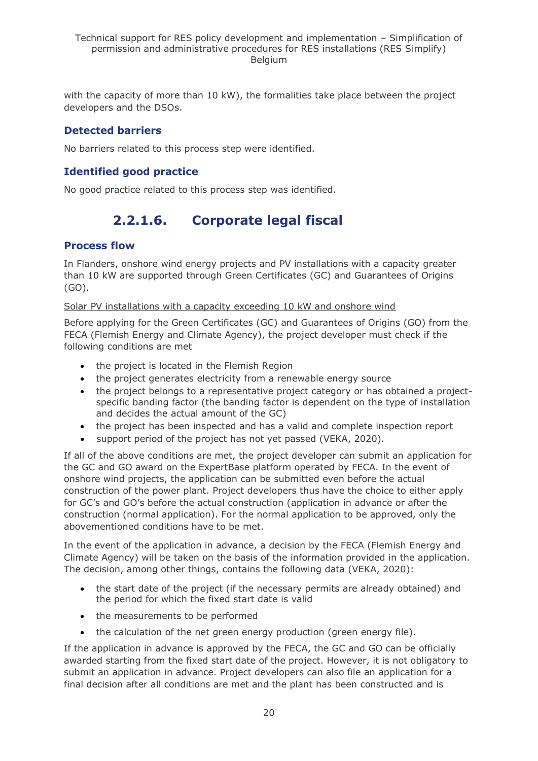with the capacity of more than 10 kW), the formalities take place between the project developers and the DSOs.

### **Detected barriers**

No barriers related to this process step were identified.

### **Identified good practice**

<span id="page-19-0"></span>No good practice related to this process step was identified.

## **2.2.1.6. Corporate legal fiscal**

#### **Process flow**

In Flanders, onshore wind energy projects and PV installations with a capacity greater than 10 kW are supported through Green Certificates (GC) and Guarantees of Origins (GO).

#### Solar PV installations with a capacity exceeding 10 kW and onshore wind

Before applying for the Green Certificates (GC) and Guarantees of Origins (GO) from the FECA (Flemish Energy and Climate Agency), the project developer must check if the following conditions are met

- the project is located in the Flemish Region
- the project generates electricity from a renewable energy source
- the project belongs to a representative project category or has obtained a projectspecific banding factor (the banding factor is dependent on the type of installation and decides the actual amount of the GC)
- the project has been inspected and has a valid and complete inspection report
- support period of the project has not yet passed (VEKA, 2020).

If all of the above conditions are met, the project developer can submit an application for the GC and GO award on the ExpertBase platform operated by FECA. In the event of onshore wind projects, the application can be submitted even before the actual construction of the power plant. Project developers thus have the choice to either apply for GC's and GO's before the actual construction (application in advance or after the construction (normal application). For the normal application to be approved, only the abovementioned conditions have to be met.

In the event of the application in advance, a decision by the FECA (Flemish Energy and Climate Agency) will be taken on the basis of the information provided in the application. The decision, among other things, contains the following data (VEKA, 2020):

- the start date of the project (if the necessary permits are already obtained) and the period for which the fixed start date is valid
- the measurements to be performed
- the calculation of the net green energy production (green energy file).

If the application in advance is approved by the FECA, the GC and GO can be officially awarded starting from the fixed start date of the project. However, it is not obligatory to submit an application in advance. Project developers can also file an application for a final decision after all conditions are met and the plant has been constructed and is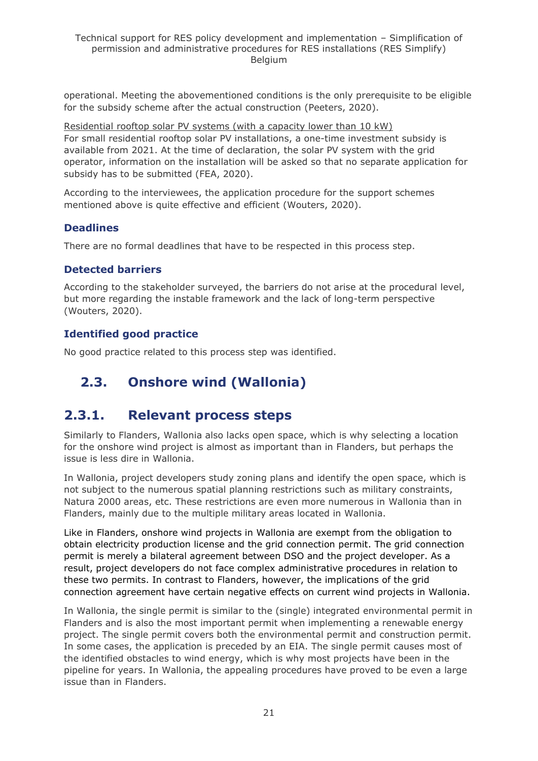operational. Meeting the abovementioned conditions is the only prerequisite to be eligible for the subsidy scheme after the actual construction (Peeters, 2020).

Residential rooftop solar PV systems (with a capacity lower than 10 kW) For small residential rooftop solar PV installations, a one-time investment subsidy is available from 2021. At the time of declaration, the solar PV system with the grid operator, information on the installation will be asked so that no separate application for subsidy has to be submitted (FEA, 2020).

According to the interviewees, the application procedure for the support schemes mentioned above is quite effective and efficient (Wouters, 2020).

#### **Deadlines**

There are no formal deadlines that have to be respected in this process step.

#### **Detected barriers**

According to the stakeholder surveyed, the barriers do not arise at the procedural level, but more regarding the instable framework and the lack of long-term perspective (Wouters, 2020).

#### **Identified good practice**

No good practice related to this process step was identified.

## <span id="page-20-0"></span>**2.3. Onshore wind (Wallonia)**

## <span id="page-20-1"></span>**2.3.1. Relevant process steps**

Similarly to Flanders, Wallonia also lacks open space, which is why selecting a location for the onshore wind project is almost as important than in Flanders, but perhaps the issue is less dire in Wallonia.

In Wallonia, project developers study zoning plans and identify the open space, which is not subject to the numerous spatial planning restrictions such as military constraints, Natura 2000 areas, etc. These restrictions are even more numerous in Wallonia than in Flanders, mainly due to the multiple military areas located in Wallonia.

Like in Flanders, onshore wind projects in Wallonia are exempt from the obligation to obtain electricity production license and the grid connection permit. The grid connection permit is merely a bilateral agreement between DSO and the project developer. As a result, project developers do not face complex administrative procedures in relation to these two permits. In contrast to Flanders, however, the implications of the grid connection agreement have certain negative effects on current wind projects in Wallonia.

In Wallonia, the single permit is similar to the (single) integrated environmental permit in Flanders and is also the most important permit when implementing a renewable energy project. The single permit covers both the environmental permit and construction permit. In some cases, the application is preceded by an EIA. The single permit causes most of the identified obstacles to wind energy, which is why most projects have been in the pipeline for years. In Wallonia, the appealing procedures have proved to be even a large issue than in Flanders.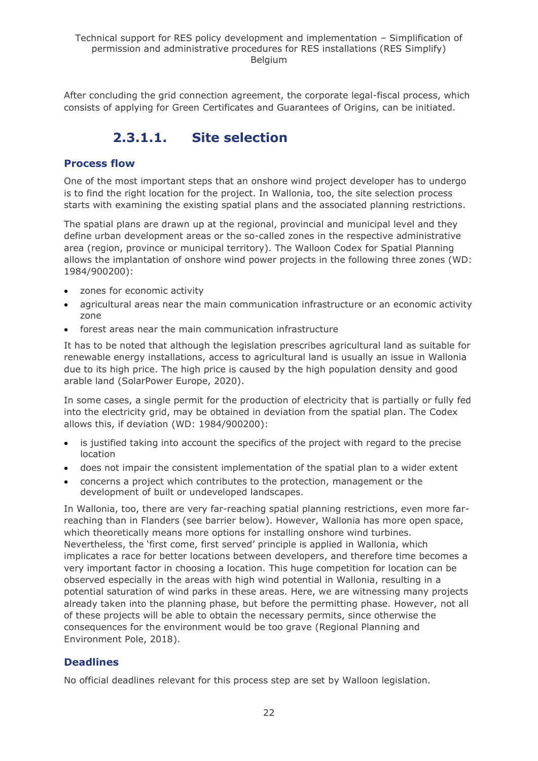<span id="page-21-0"></span>After concluding the grid connection agreement, the corporate legal-fiscal process, which consists of applying for Green Certificates and Guarantees of Origins, can be initiated.

## **2.3.1.1. Site selection**

#### **Process flow**

One of the most important steps that an onshore wind project developer has to undergo is to find the right location for the project. In Wallonia, too, the site selection process starts with examining the existing spatial plans and the associated planning restrictions.

The spatial plans are drawn up at the regional, provincial and municipal level and they define urban development areas or the so-called zones in the respective administrative area (region, province or municipal territory). The Walloon Codex for Spatial Planning allows the implantation of onshore wind power projects in the following three zones (WD: 1984/900200):

- zones for economic activity
- agricultural areas near the main communication infrastructure or an economic activity zone
- forest areas near the main communication infrastructure

It has to be noted that although the legislation prescribes agricultural land as suitable for renewable energy installations, access to agricultural land is usually an issue in Wallonia due to its high price. The high price is caused by the high population density and good arable land (SolarPower Europe, 2020).

In some cases, a single permit for the production of electricity that is partially or fully fed into the electricity grid, may be obtained in deviation from the spatial plan. The Codex allows this, if deviation (WD: 1984/900200):

- is justified taking into account the specifics of the project with regard to the precise location
- does not impair the consistent implementation of the spatial plan to a wider extent
- concerns a project which contributes to the protection, management or the development of built or undeveloped landscapes.

In Wallonia, too, there are very far-reaching spatial planning restrictions, even more farreaching than in Flanders (see barrier below). However, Wallonia has more open space, which theoretically means more options for installing onshore wind turbines. Nevertheless, the 'first come, first served' principle is applied in Wallonia, which implicates a race for better locations between developers, and therefore time becomes a very important factor in choosing a location. This huge competition for location can be observed especially in the areas with high wind potential in Wallonia, resulting in a potential saturation of wind parks in these areas. Here, we are witnessing many projects already taken into the planning phase, but before the permitting phase. However, not all of these projects will be able to obtain the necessary permits, since otherwise the consequences for the environment would be too grave (Regional Planning and Environment Pole, 2018).

#### **Deadlines**

No official deadlines relevant for this process step are set by Walloon legislation.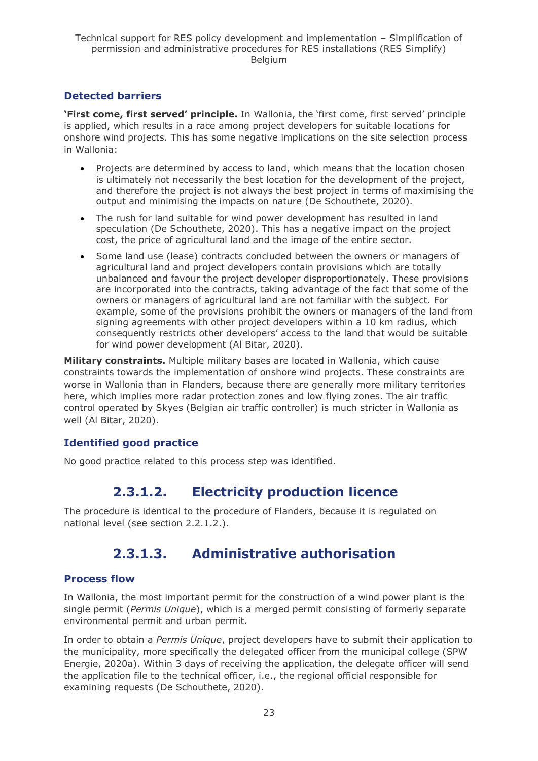### **Detected barriers**

**'First come, first served' principle.** In Wallonia, the 'first come, first served' principle is applied, which results in a race among project developers for suitable locations for onshore wind projects. This has some negative implications on the site selection process in Wallonia:

- Projects are determined by access to land, which means that the location chosen is ultimately not necessarily the best location for the development of the project, and therefore the project is not always the best project in terms of maximising the output and minimising the impacts on nature (De Schouthete, 2020).
- The rush for land suitable for wind power development has resulted in land speculation (De Schouthete, 2020). This has a negative impact on the project cost, the price of agricultural land and the image of the entire sector.
- Some land use (lease) contracts concluded between the owners or managers of agricultural land and project developers contain provisions which are totally unbalanced and favour the project developer disproportionately. These provisions are incorporated into the contracts, taking advantage of the fact that some of the owners or managers of agricultural land are not familiar with the subject. For example, some of the provisions prohibit the owners or managers of the land from signing agreements with other project developers within a 10 km radius, which consequently restricts other developers' access to the land that would be suitable for wind power development (Al Bitar, 2020).

**Military constraints.** Multiple military bases are located in Wallonia, which cause constraints towards the implementation of onshore wind projects. These constraints are worse in Wallonia than in Flanders, because there are generally more military territories here, which implies more radar protection zones and low flying zones. The air traffic control operated by Skyes (Belgian air traffic controller) is much stricter in Wallonia as well (Al Bitar, 2020).

### **Identified good practice**

<span id="page-22-0"></span>No good practice related to this process step was identified.

## **2.3.1.2. Electricity production licence**

<span id="page-22-1"></span>The procedure is identical to the procedure of Flanders, because it is regulated on national level (see section 2.2.1.2.).

## **2.3.1.3. Administrative authorisation**

#### **Process flow**

In Wallonia, the most important permit for the construction of a wind power plant is the single permit (*Permis Unique*), which is a merged permit consisting of formerly separate environmental permit and urban permit.

In order to obtain a *Permis Unique*, project developers have to submit their application to the municipality, more specifically the delegated officer from the municipal college (SPW Energie, 2020a). Within 3 days of receiving the application, the delegate officer will send the application file to the technical officer, i.e., the regional official responsible for examining requests (De Schouthete, 2020).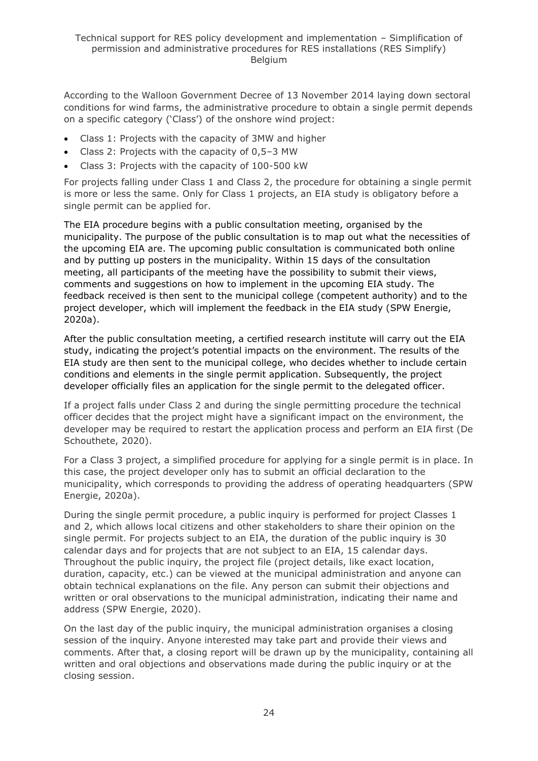According to the Walloon Government Decree of 13 November 2014 laying down sectoral conditions for wind farms, the administrative procedure to obtain a single permit depends on a specific category ('Class') of the onshore wind project:

- Class 1: Projects with the capacity of 3MW and higher
- Class 2: Projects with the capacity of 0,5–3 MW
- Class 3: Projects with the capacity of 100-500 kW

For projects falling under Class 1 and Class 2, the procedure for obtaining a single permit is more or less the same. Only for Class 1 projects, an EIA study is obligatory before a single permit can be applied for.

The EIA procedure begins with a public consultation meeting, organised by the municipality. The purpose of the public consultation is to map out what the necessities of the upcoming EIA are. The upcoming public consultation is communicated both online and by putting up posters in the municipality. Within 15 days of the consultation meeting, all participants of the meeting have the possibility to submit their views, comments and suggestions on how to implement in the upcoming EIA study. The feedback received is then sent to the municipal college (competent authority) and to the project developer, which will implement the feedback in the EIA study (SPW Energie, 2020a).

After the public consultation meeting, a certified research institute will carry out the EIA study, indicating the project's potential impacts on the environment. The results of the EIA study are then sent to the municipal college, who decides whether to include certain conditions and elements in the single permit application. Subsequently, the project developer officially files an application for the single permit to the delegated officer.

If a project falls under Class 2 and during the single permitting procedure the technical officer decides that the project might have a significant impact on the environment, the developer may be required to restart the application process and perform an EIA first (De Schouthete, 2020).

For a Class 3 project, a simplified procedure for applying for a single permit is in place. In this case, the project developer only has to submit an official declaration to the municipality, which corresponds to providing the address of operating headquarters (SPW Energie, 2020a).

During the single permit procedure, a public inquiry is performed for project Classes 1 and 2, which allows local citizens and other stakeholders to share their opinion on the single permit. For projects subject to an EIA, the duration of the public inquiry is 30 calendar days and for projects that are not subject to an EIA, 15 calendar days. Throughout the public inquiry, the project file (project details, like exact location, duration, capacity, etc.) can be viewed at the municipal administration and anyone can obtain technical explanations on the file. Any person can submit their objections and written or oral observations to the municipal administration, indicating their name and address (SPW Energie, 2020).

On the last day of the public inquiry, the municipal administration organises a closing session of the inquiry. Anyone interested may take part and provide their views and comments. After that, a closing report will be drawn up by the municipality, containing all written and oral objections and observations made during the public inquiry or at the closing session.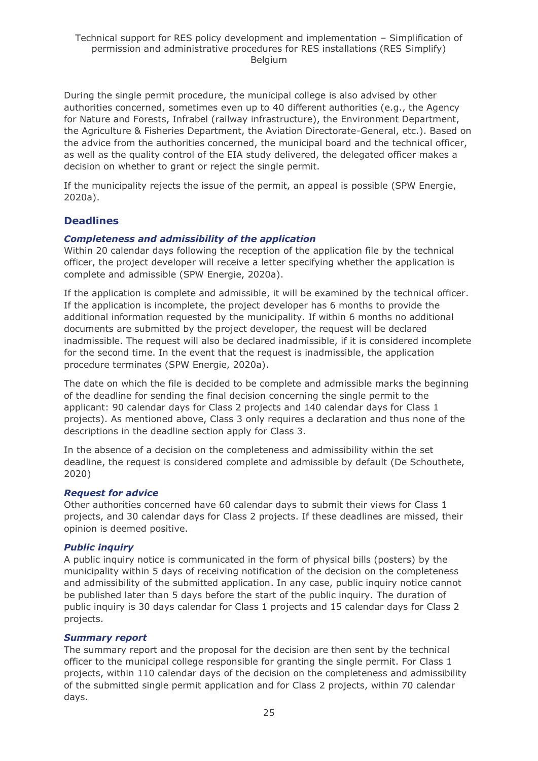During the single permit procedure, the municipal college is also advised by other authorities concerned, sometimes even up to 40 different authorities (e.g., the Agency for Nature and Forests, Infrabel (railway infrastructure), the Environment Department, the Agriculture & Fisheries Department, the Aviation Directorate-General, etc.). Based on the advice from the authorities concerned, the municipal board and the technical officer, as well as the quality control of the EIA study delivered, the delegated officer makes a decision on whether to grant or reject the single permit.

If the municipality rejects the issue of the permit, an appeal is possible (SPW Energie, 2020a).

#### **Deadlines**

#### *Completeness and admissibility of the application*

Within 20 calendar days following the reception of the application file by the technical officer, the project developer will receive a letter specifying whether the application is complete and admissible (SPW Energie, 2020a).

If the application is complete and admissible, it will be examined by the technical officer. If the application is incomplete, the project developer has 6 months to provide the additional information requested by the municipality. If within 6 months no additional documents are submitted by the project developer, the request will be declared inadmissible. The request will also be declared inadmissible, if it is considered incomplete for the second time. In the event that the request is inadmissible, the application procedure terminates (SPW Energie, 2020a).

The date on which the file is decided to be complete and admissible marks the beginning of the deadline for sending the final decision concerning the single permit to the applicant: 90 calendar days for Class 2 projects and 140 calendar days for Class 1 projects). As mentioned above, Class 3 only requires a declaration and thus none of the descriptions in the deadline section apply for Class 3.

In the absence of a decision on the completeness and admissibility within the set deadline, the request is considered complete and admissible by default (De Schouthete, 2020)

#### *Request for advice*

Other authorities concerned have 60 calendar days to submit their views for Class 1 projects, and 30 calendar days for Class 2 projects. If these deadlines are missed, their opinion is deemed positive.

#### *Public inquiry*

A public inquiry notice is communicated in the form of physical bills (posters) by the municipality within 5 days of receiving notification of the decision on the completeness and admissibility of the submitted application. In any case, public inquiry notice cannot be published later than 5 days before the start of the public inquiry. The duration of public inquiry is 30 days calendar for Class 1 projects and 15 calendar days for Class 2 projects.

#### *Summary report*

The summary report and the proposal for the decision are then sent by the technical officer to the municipal college responsible for granting the single permit. For Class 1 projects, within 110 calendar days of the decision on the completeness and admissibility of the submitted single permit application and for Class 2 projects, within 70 calendar days.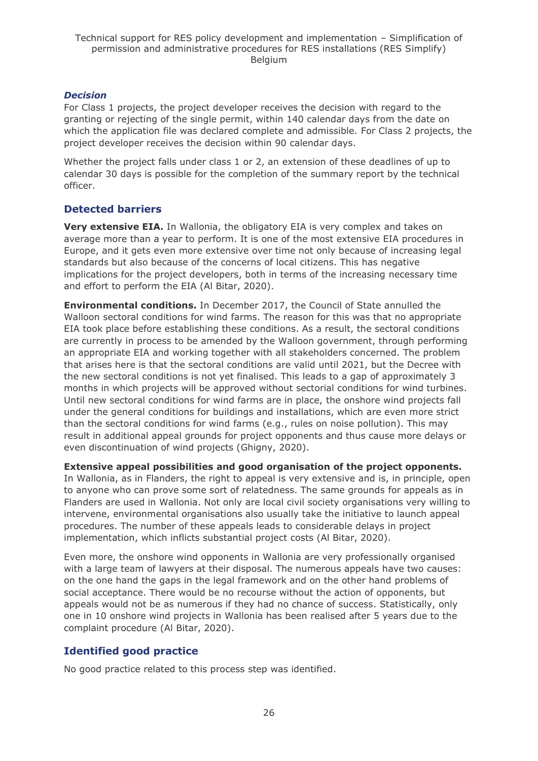#### *Decision*

For Class 1 projects, the project developer receives the decision with regard to the granting or rejecting of the single permit, within 140 calendar days from the date on which the application file was declared complete and admissible. For Class 2 projects, the project developer receives the decision within 90 calendar days.

Whether the project falls under class 1 or 2, an extension of these deadlines of up to calendar 30 days is possible for the completion of the summary report by the technical officer.

### **Detected barriers**

**Very extensive EIA.** In Wallonia, the obligatory EIA is very complex and takes on average more than a year to perform. It is one of the most extensive EIA procedures in Europe, and it gets even more extensive over time not only because of increasing legal standards but also because of the concerns of local citizens. This has negative implications for the project developers, both in terms of the increasing necessary time and effort to perform the EIA (Al Bitar, 2020).

**Environmental conditions.** In December 2017, the Council of State annulled the Walloon sectoral conditions for wind farms. The reason for this was that no appropriate EIA took place before establishing these conditions. As a result, the sectoral conditions are currently in process to be amended by the Walloon government, through performing an appropriate EIA and working together with all stakeholders concerned. The problem that arises here is that the sectoral conditions are valid until 2021, but the Decree with the new sectoral conditions is not yet finalised. This leads to a gap of approximately 3 months in which projects will be approved without sectorial conditions for wind turbines. Until new sectoral conditions for wind farms are in place, the onshore wind projects fall under the general conditions for buildings and installations, which are even more strict than the sectoral conditions for wind farms (e.g., rules on noise pollution). This may result in additional appeal grounds for project opponents and thus cause more delays or even discontinuation of wind projects (Ghigny, 2020).

**Extensive appeal possibilities and good organisation of the project opponents.** 

In Wallonia, as in Flanders, the right to appeal is very extensive and is, in principle, open to anyone who can prove some sort of relatedness. The same grounds for appeals as in Flanders are used in Wallonia. Not only are local civil society organisations very willing to intervene, environmental organisations also usually take the initiative to launch appeal procedures. The number of these appeals leads to considerable delays in project implementation, which inflicts substantial project costs (Al Bitar, 2020).

Even more, the onshore wind opponents in Wallonia are very professionally organised with a large team of lawyers at their disposal. The numerous appeals have two causes: on the one hand the gaps in the legal framework and on the other hand problems of social acceptance. There would be no recourse without the action of opponents, but appeals would not be as numerous if they had no chance of success. Statistically, only one in 10 onshore wind projects in Wallonia has been realised after 5 years due to the complaint procedure (Al Bitar, 2020).

#### **Identified good practice**

No good practice related to this process step was identified.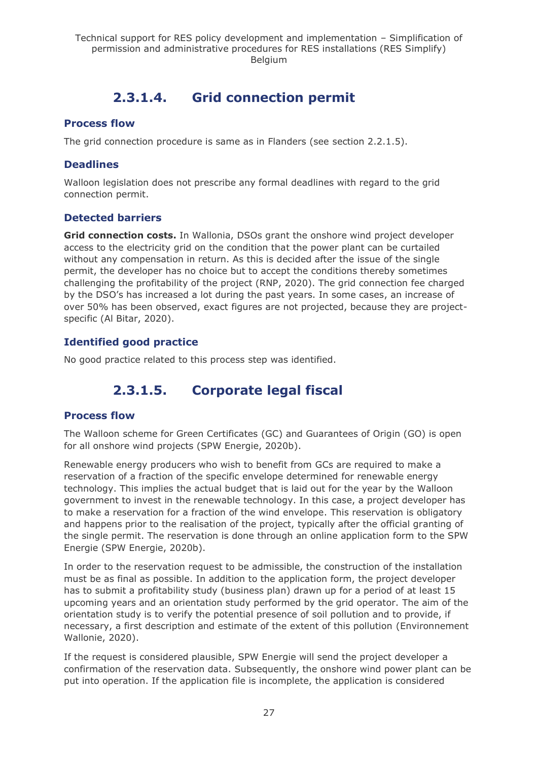## **2.3.1.4. Grid connection permit**

#### <span id="page-26-0"></span>**Process flow**

The grid connection procedure is same as in Flanders (see section 2.2.1.5).

### **Deadlines**

Walloon legislation does not prescribe any formal deadlines with regard to the grid connection permit.

### **Detected barriers**

**Grid connection costs.** In Wallonia, DSOs grant the onshore wind project developer access to the electricity grid on the condition that the power plant can be curtailed without any compensation in return. As this is decided after the issue of the single permit, the developer has no choice but to accept the conditions thereby sometimes challenging the profitability of the project (RNP, 2020). The grid connection fee charged by the DSO's has increased a lot during the past years. In some cases, an increase of over 50% has been observed, exact figures are not projected, because they are projectspecific (Al Bitar, 2020).

### **Identified good practice**

<span id="page-26-1"></span>No good practice related to this process step was identified.

## **2.3.1.5. Corporate legal fiscal**

#### **Process flow**

The Walloon scheme for Green Certificates (GC) and Guarantees of Origin (GO) is open for all onshore wind projects (SPW Energie, 2020b).

Renewable energy producers who wish to benefit from GCs are required to make a reservation of a fraction of the specific envelope determined for renewable energy technology. This implies the actual budget that is laid out for the year by the Walloon government to invest in the renewable technology. In this case, a project developer has to make a reservation for a fraction of the wind envelope. This reservation is obligatory and happens prior to the realisation of the project, typically after the official granting of the single permit. The reservation is done through an online application form to the SPW Energie (SPW Energie, 2020b).

In order to the reservation request to be admissible, the construction of the installation must be as final as possible. In addition to the application form, the project developer has to submit a profitability study (business plan) drawn up for a period of at least 15 upcoming years and an orientation study performed by the grid operator. The aim of the orientation study is to verify the potential presence of soil pollution and to provide, if necessary, a first description and estimate of the extent of this pollution (Environnement Wallonie, 2020).

If the request is considered plausible, SPW Energie will send the project developer a confirmation of the reservation data. Subsequently, the onshore wind power plant can be put into operation. If the application file is incomplete, the application is considered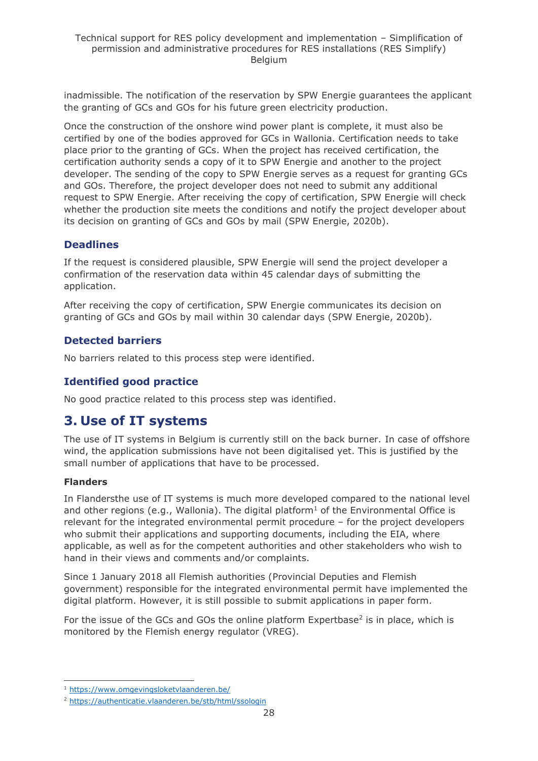inadmissible. The notification of the reservation by SPW Energie guarantees the applicant the granting of GCs and GOs for his future green electricity production.

Once the construction of the onshore wind power plant is complete, it must also be certified by one of the bodies approved for GCs in Wallonia. Certification needs to take place prior to the granting of GCs. When the project has received certification, the certification authority sends a copy of it to SPW Energie and another to the project developer. The sending of the copy to SPW Energie serves as a request for granting GCs and GOs. Therefore, the project developer does not need to submit any additional request to SPW Energie. After receiving the copy of certification, SPW Energie will check whether the production site meets the conditions and notify the project developer about its decision on granting of GCs and GOs by mail (SPW Energie, 2020b).

### **Deadlines**

If the request is considered plausible, SPW Energie will send the project developer a confirmation of the reservation data within 45 calendar days of submitting the application.

After receiving the copy of certification, SPW Energie communicates its decision on granting of GCs and GOs by mail within 30 calendar days (SPW Energie, 2020b).

### **Detected barriers**

No barriers related to this process step were identified.

### **Identified good practice**

No good practice related to this process step was identified.

## <span id="page-27-0"></span>**3. Use of IT systems**

The use of IT systems in Belgium is currently still on the back burner. In case of offshore wind, the application submissions have not been digitalised yet. This is justified by the small number of applications that have to be processed.

#### **Flanders**

In Flandersthe use of IT systems is much more developed compared to the national level and other regions (e.g., Wallonia). The digital platform<sup>1</sup> of the Environmental Office is relevant for the integrated environmental permit procedure – for the project developers who submit their applications and supporting documents, including the EIA, where applicable, as well as for the competent authorities and other stakeholders who wish to hand in their views and comments and/or complaints.

Since 1 January 2018 all Flemish authorities (Provincial Deputies and Flemish government) responsible for the integrated environmental permit have implemented the digital platform. However, it is still possible to submit applications in paper form.

For the issue of the GCs and GOs the online platform Expertbase<sup>2</sup> is in place, which is monitored by the Flemish energy regulator (VREG).

<sup>1</sup> <https://www.omgevingsloketvlaanderen.be/>

<sup>&</sup>lt;sup>2</sup> <https://authenticatie.vlaanderen.be/stb/html/ssologin>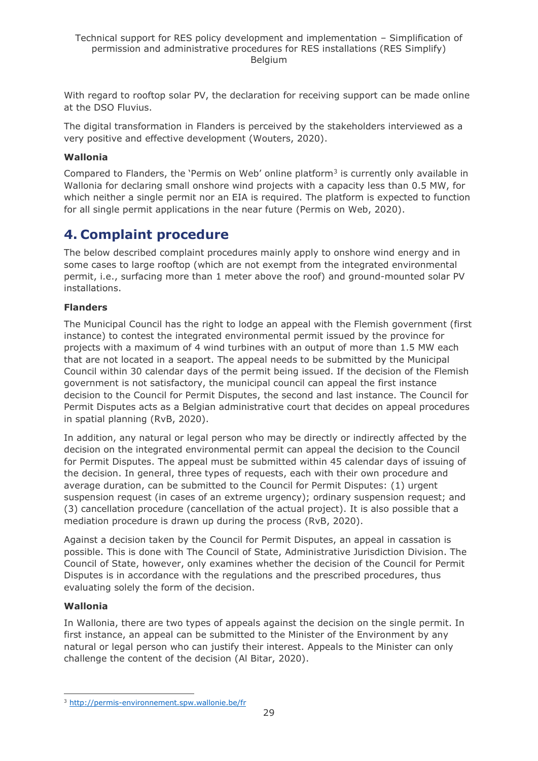With regard to rooftop solar PV, the declaration for receiving support can be made online at the DSO Fluvius.

The digital transformation in Flanders is perceived by the stakeholders interviewed as a very positive and effective development (Wouters, 2020).

#### **Wallonia**

Compared to Flanders, the 'Permis on Web' online platform $3$  is currently only available in Wallonia for declaring small onshore wind projects with a capacity less than 0.5 MW, for which neither a single permit nor an EIA is required. The platform is expected to function for all single permit applications in the near future (Permis on Web, 2020).

## <span id="page-28-0"></span>**4. Complaint procedure**

The below described complaint procedures mainly apply to onshore wind energy and in some cases to large rooftop (which are not exempt from the integrated environmental permit, i.e., surfacing more than 1 meter above the roof) and ground-mounted solar PV installations.

#### **Flanders**

The Municipal Council has the right to lodge an appeal with the Flemish government (first instance) to contest the integrated environmental permit issued by the province for projects with a maximum of 4 wind turbines with an output of more than 1.5 MW each that are not located in a seaport. The appeal needs to be submitted by the Municipal Council within 30 calendar days of the permit being issued. If the decision of the Flemish government is not satisfactory, the municipal council can appeal the first instance decision to the Council for Permit Disputes, the second and last instance. The Council for Permit Disputes acts as a Belgian administrative court that decides on appeal procedures in spatial planning (RvB, 2020).

In addition, any natural or legal person who may be directly or indirectly affected by the decision on the integrated environmental permit can appeal the decision to the Council for Permit Disputes. The appeal must be submitted within 45 calendar days of issuing of the decision. In general, three types of requests, each with their own procedure and average duration, can be submitted to the Council for Permit Disputes: (1) urgent suspension request (in cases of an extreme urgency); ordinary suspension request; and (3) cancellation procedure (cancellation of the actual project). It is also possible that a mediation procedure is drawn up during the process (RvB, 2020).

Against a decision taken by the Council for Permit Disputes, an appeal in cassation is possible. This is done with The Council of State, Administrative Jurisdiction Division. The Council of State, however, only examines whether the decision of the Council for Permit Disputes is in accordance with the regulations and the prescribed procedures, thus evaluating solely the form of the decision.

#### **Wallonia**

In Wallonia, there are two types of appeals against the decision on the single permit. In first instance, an appeal can be submitted to the Minister of the Environment by any natural or legal person who can justify their interest. Appeals to the Minister can only challenge the content of the decision (Al Bitar, 2020).

<sup>3</sup> <http://permis-environnement.spw.wallonie.be/fr>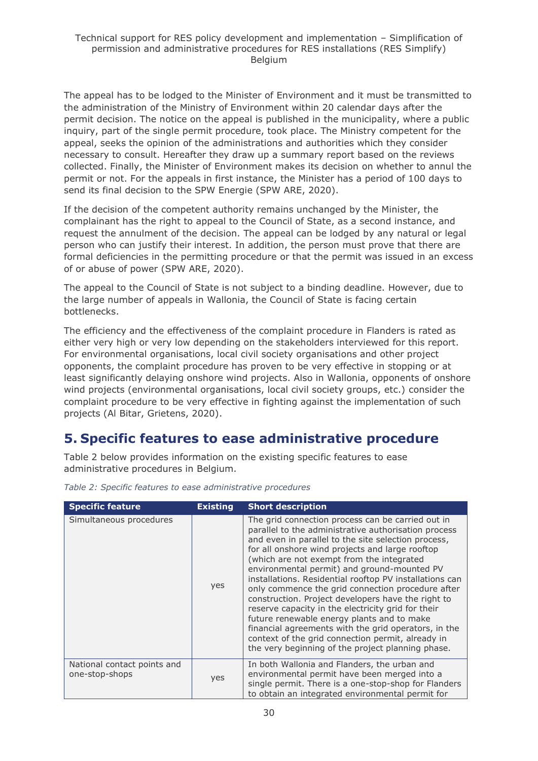The appeal has to be lodged to the Minister of Environment and it must be transmitted to the administration of the Ministry of Environment within 20 calendar days after the permit decision. The notice on the appeal is published in the municipality, where a public inquiry, part of the single permit procedure, took place. The Ministry competent for the appeal, seeks the opinion of the administrations and authorities which they consider necessary to consult. Hereafter they draw up a summary report based on the reviews collected. Finally, the Minister of Environment makes its decision on whether to annul the permit or not. For the appeals in first instance, the Minister has a period of 100 days to send its final decision to the SPW Energie (SPW ARE, 2020).

If the decision of the competent authority remains unchanged by the Minister, the complainant has the right to appeal to the Council of State, as a second instance, and request the annulment of the decision. The appeal can be lodged by any natural or legal person who can justify their interest. In addition, the person must prove that there are formal deficiencies in the permitting procedure or that the permit was issued in an excess of or abuse of power (SPW ARE, 2020).

The appeal to the Council of State is not subject to a binding deadline. However, due to the large number of appeals in Wallonia, the Council of State is facing certain bottlenecks.

The efficiency and the effectiveness of the complaint procedure in Flanders is rated as either very high or very low depending on the stakeholders interviewed for this report. For environmental organisations, local civil society organisations and other project opponents, the complaint procedure has proven to be very effective in stopping or at least significantly delaying onshore wind projects. Also in Wallonia, opponents of onshore wind projects (environmental organisations, local civil society groups, etc.) consider the complaint procedure to be very effective in fighting against the implementation of such projects (Al Bitar, Grietens, 2020).

## <span id="page-29-0"></span>**5. Specific features to ease administrative procedure**

Table 2 below provides information on the existing specific features to ease administrative procedures in Belgium.

| <b>Specific feature</b>                       | <b>Existing</b> | <b>Short description</b>                                                                                                                                                                                                                                                                                                                                                                                                                                                                                                                                                                                                                                                                                                                                    |
|-----------------------------------------------|-----------------|-------------------------------------------------------------------------------------------------------------------------------------------------------------------------------------------------------------------------------------------------------------------------------------------------------------------------------------------------------------------------------------------------------------------------------------------------------------------------------------------------------------------------------------------------------------------------------------------------------------------------------------------------------------------------------------------------------------------------------------------------------------|
| Simultaneous procedures                       | yes             | The grid connection process can be carried out in<br>parallel to the administrative authorisation process<br>and even in parallel to the site selection process,<br>for all onshore wind projects and large rooftop<br>(which are not exempt from the integrated<br>environmental permit) and ground-mounted PV<br>installations. Residential rooftop PV installations can<br>only commence the grid connection procedure after<br>construction. Project developers have the right to<br>reserve capacity in the electricity grid for their<br>future renewable energy plants and to make<br>financial agreements with the grid operators, in the<br>context of the grid connection permit, already in<br>the very beginning of the project planning phase. |
| National contact points and<br>one-stop-shops | yes             | In both Wallonia and Flanders, the urban and<br>environmental permit have been merged into a<br>single permit. There is a one-stop-shop for Flanders<br>to obtain an integrated environmental permit for                                                                                                                                                                                                                                                                                                                                                                                                                                                                                                                                                    |

*Table 2: Specific features to ease administrative procedures*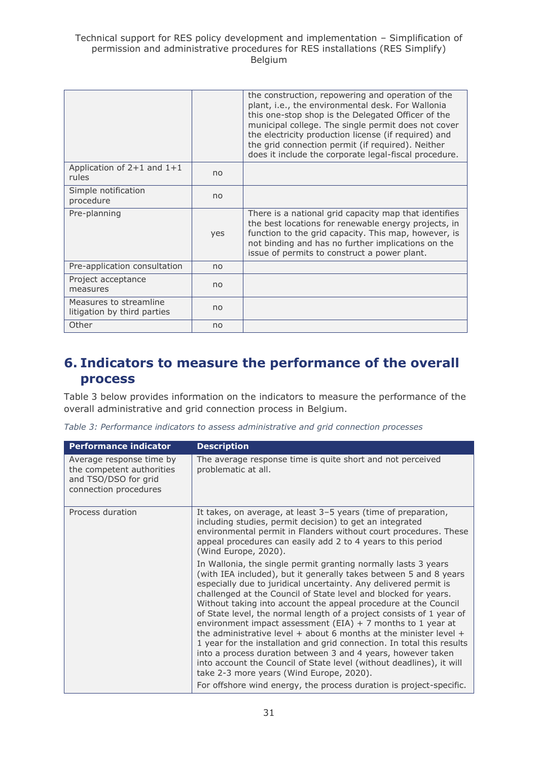#### Technical support for RES policy development and implementation – Simplification of permission and administrative procedures for RES installations (RES Simplify) Belgium

|                                                       |     | the construction, repowering and operation of the<br>plant, i.e., the environmental desk. For Wallonia<br>this one-stop shop is the Delegated Officer of the<br>municipal college. The single permit does not cover<br>the electricity production license (if required) and<br>the grid connection permit (if required). Neither<br>does it include the corporate legal-fiscal procedure. |
|-------------------------------------------------------|-----|-------------------------------------------------------------------------------------------------------------------------------------------------------------------------------------------------------------------------------------------------------------------------------------------------------------------------------------------------------------------------------------------|
| Application of $2+1$ and $1+1$<br>rules               | no  |                                                                                                                                                                                                                                                                                                                                                                                           |
| Simple notification<br>procedure                      | no  |                                                                                                                                                                                                                                                                                                                                                                                           |
| Pre-planning                                          | yes | There is a national grid capacity map that identifies<br>the best locations for renewable energy projects, in<br>function to the grid capacity. This map, however, is<br>not binding and has no further implications on the<br>issue of permits to construct a power plant.                                                                                                               |
| Pre-application consultation                          | no  |                                                                                                                                                                                                                                                                                                                                                                                           |
| Project acceptance<br>measures                        | no  |                                                                                                                                                                                                                                                                                                                                                                                           |
| Measures to streamline<br>litigation by third parties | no  |                                                                                                                                                                                                                                                                                                                                                                                           |
| Other                                                 | no  |                                                                                                                                                                                                                                                                                                                                                                                           |

## <span id="page-30-0"></span>**6. Indicators to measure the performance of the overall process**

Table 3 below provides information on the indicators to measure the performance of the overall administrative and grid connection process in Belgium.

|  |  |  |  | Table 3: Performance indicators to assess administrative and grid connection processes |  |  |  |
|--|--|--|--|----------------------------------------------------------------------------------------|--|--|--|
|--|--|--|--|----------------------------------------------------------------------------------------|--|--|--|

| <b>Performance indicator</b>                                                                           | <b>Description</b>                                                                                                                                                                                                                                                                                                                                                                                                                                                                                                                                                                                                                                                                                                                                                                                                                                                                                 |
|--------------------------------------------------------------------------------------------------------|----------------------------------------------------------------------------------------------------------------------------------------------------------------------------------------------------------------------------------------------------------------------------------------------------------------------------------------------------------------------------------------------------------------------------------------------------------------------------------------------------------------------------------------------------------------------------------------------------------------------------------------------------------------------------------------------------------------------------------------------------------------------------------------------------------------------------------------------------------------------------------------------------|
| Average response time by<br>the competent authorities<br>and TSO/DSO for grid<br>connection procedures | The average response time is quite short and not perceived<br>problematic at all.                                                                                                                                                                                                                                                                                                                                                                                                                                                                                                                                                                                                                                                                                                                                                                                                                  |
| Process duration                                                                                       | It takes, on average, at least 3-5 years (time of preparation,<br>including studies, permit decision) to get an integrated<br>environmental permit in Flanders without court procedures. These<br>appeal procedures can easily add 2 to 4 years to this period<br>(Wind Europe, 2020).                                                                                                                                                                                                                                                                                                                                                                                                                                                                                                                                                                                                             |
|                                                                                                        | In Wallonia, the single permit granting normally lasts 3 years<br>(with IEA included), but it generally takes between 5 and 8 years<br>especially due to juridical uncertainty. Any delivered permit is<br>challenged at the Council of State level and blocked for years.<br>Without taking into account the appeal procedure at the Council<br>of State level, the normal length of a project consists of 1 year of<br>environment impact assessment (EIA) + 7 months to 1 year at<br>the administrative level $+$ about 6 months at the minister level $+$<br>1 year for the installation and grid connection. In total this results<br>into a process duration between 3 and 4 years, however taken<br>into account the Council of State level (without deadlines), it will<br>take 2-3 more years (Wind Europe, 2020).<br>For offshore wind energy, the process duration is project-specific. |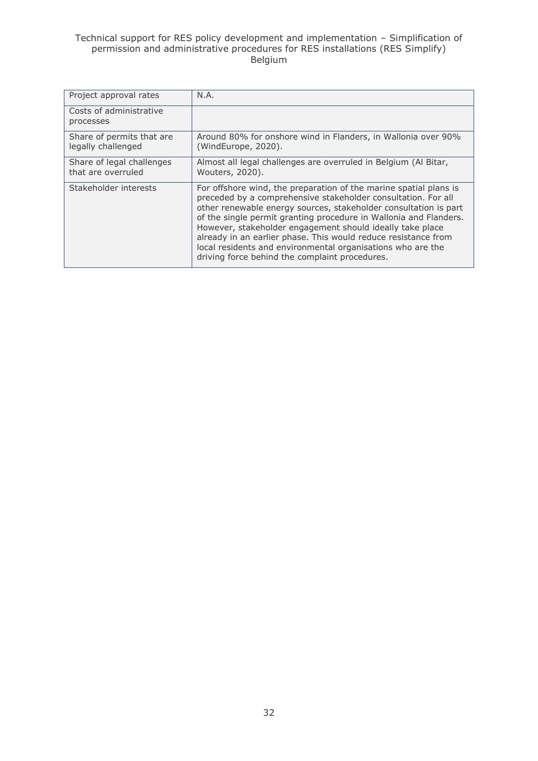#### Technical support for RES policy development and implementation – Simplification of permission and administrative procedures for RES installations (RES Simplify) Belgium

| Project approval rates                          | N.A.                                                                                                                                                                                                                                                                                                                                                                                                                                                                                                                        |
|-------------------------------------------------|-----------------------------------------------------------------------------------------------------------------------------------------------------------------------------------------------------------------------------------------------------------------------------------------------------------------------------------------------------------------------------------------------------------------------------------------------------------------------------------------------------------------------------|
| Costs of administrative<br>processes            |                                                                                                                                                                                                                                                                                                                                                                                                                                                                                                                             |
| Share of permits that are<br>legally challenged | Around 80% for onshore wind in Flanders, in Wallonia over 90%<br>(WindEurope, 2020).                                                                                                                                                                                                                                                                                                                                                                                                                                        |
| Share of legal challenges<br>that are overruled | Almost all legal challenges are overruled in Belgium (Al Bitar,<br>Wouters, 2020).                                                                                                                                                                                                                                                                                                                                                                                                                                          |
| Stakeholder interests                           | For offshore wind, the preparation of the marine spatial plans is<br>preceded by a comprehensive stakeholder consultation. For all<br>other renewable energy sources, stakeholder consultation is part<br>of the single permit granting procedure in Wallonia and Flanders.<br>However, stakeholder engagement should ideally take place<br>already in an earlier phase. This would reduce resistance from<br>local residents and environmental organisations who are the<br>driving force behind the complaint procedures. |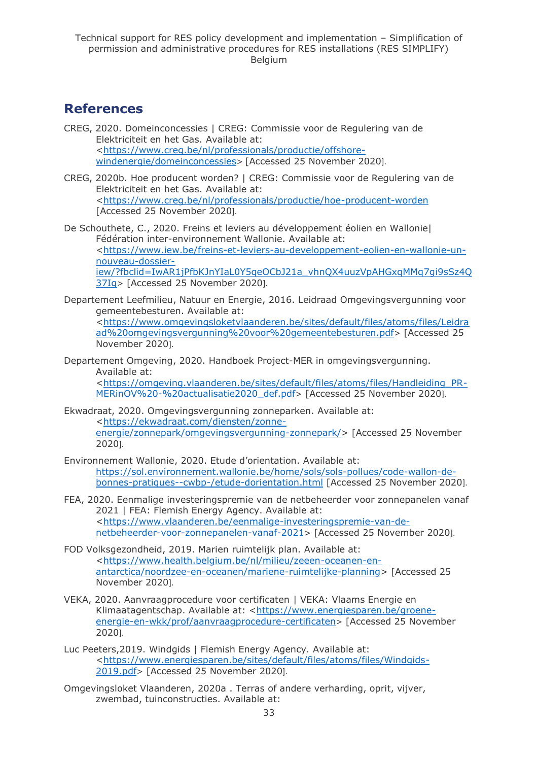## <span id="page-32-0"></span>**References**

- CREG, 2020. Domeinconcessies | CREG: Commissie voor de Regulering van de Elektriciteit en het Gas. Available at: [<https://www.creg.be/nl/professionals/productie/offshore](https://www.creg.be/nl/professionals/productie/offshore-windenergie/domeinconcessies)[windenergie/domeinconcessies](https://www.creg.be/nl/professionals/productie/offshore-windenergie/domeinconcessies)> [Accessed 25 November 2020].
- CREG, 2020b. Hoe producent worden? | CREG: Commissie voor de Regulering van de Elektriciteit en het Gas. Available at: [<https://www.creg.be/nl/professionals/productie/hoe-producent-worden](https://www.creg.be/nl/professionals/productie/hoe-producent-worden) [Accessed 25 November 2020].
- De Schouthete, C., 2020. Freins et leviers au développement éolien en Wallonie| Fédération inter-environnement Wallonie. Available at: [<https://www.iew.be/freins-et-leviers-au-developpement-eolien-en-wallonie-un](https://www.iew.be/freins-et-leviers-au-developpement-eolien-en-wallonie-un-nouveau-dossier-iew/?fbclid=IwAR1jPfbKJnYIaL0Y5qeOCbJ21a_vhnQX4uuzVpAHGxqMMq7gi9sSz4Q37Ig)[nouveau-dossier](https://www.iew.be/freins-et-leviers-au-developpement-eolien-en-wallonie-un-nouveau-dossier-iew/?fbclid=IwAR1jPfbKJnYIaL0Y5qeOCbJ21a_vhnQX4uuzVpAHGxqMMq7gi9sSz4Q37Ig)[iew/?fbclid=IwAR1jPfbKJnYIaL0Y5qeOCbJ21a\\_vhnQX4uuzVpAHGxqMMq7gi9sSz4Q](https://www.iew.be/freins-et-leviers-au-developpement-eolien-en-wallonie-un-nouveau-dossier-iew/?fbclid=IwAR1jPfbKJnYIaL0Y5qeOCbJ21a_vhnQX4uuzVpAHGxqMMq7gi9sSz4Q37Ig) [37Ig](https://www.iew.be/freins-et-leviers-au-developpement-eolien-en-wallonie-un-nouveau-dossier-iew/?fbclid=IwAR1jPfbKJnYIaL0Y5qeOCbJ21a_vhnQX4uuzVpAHGxqMMq7gi9sSz4Q37Ig)> [Accessed 25 November 2020].
- Departement Leefmilieu, Natuur en Energie, 2016. Leidraad Omgevingsvergunning voor gemeentebesturen. Available at: [<https://www.omgevingsloketvlaanderen.be/sites/default/files/atoms/files/Leidra](https://www.omgevingsloketvlaanderen.be/sites/default/files/atoms/files/Leidraad%20omgevingsvergunning%20voor%20gemeentebesturen.pdf) [ad%20omgevingsvergunning%20voor%20gemeentebesturen.pdf](https://www.omgevingsloketvlaanderen.be/sites/default/files/atoms/files/Leidraad%20omgevingsvergunning%20voor%20gemeentebesturen.pdf)> [Accessed 25 November 2020].
- Departement Omgeving, 2020. Handboek Project-MER in omgevingsvergunning. Available at: [<https://omgeving.vlaanderen.be/sites/default/files/atoms/files/Handleiding\\_PR-](https://omgeving.vlaanderen.be/sites/default/files/atoms/files/Handleiding_PR-MERinOV%20-%20actualisatie2020_def.pdf)[MERinOV%20-%20actualisatie2020\\_def.pdf](https://omgeving.vlaanderen.be/sites/default/files/atoms/files/Handleiding_PR-MERinOV%20-%20actualisatie2020_def.pdf)> [Accessed 25 November 2020].
- Ekwadraat, 2020. Omgevingsvergunning zonneparken. Available at: [<https://ekwadraat.com/diensten/zonne](https://ekwadraat.com/diensten/zonne-energie/zonnepark/omgevingsvergunning-zonnepark/)[energie/zonnepark/omgevingsvergunning-zonnepark/>](https://ekwadraat.com/diensten/zonne-energie/zonnepark/omgevingsvergunning-zonnepark/) [Accessed 25 November 2020].
- Environnement Wallonie, 2020. Etude d'orientation. Available at: [https://sol.environnement.wallonie.be/home/sols/sols-pollues/code-wallon-de](https://sol.environnement.wallonie.be/home/sols/sols-pollues/code-wallon-de-bonnes-pratiques--cwbp-/etude-dorientation.html)[bonnes-pratiques--cwbp-/etude-dorientation.html](https://sol.environnement.wallonie.be/home/sols/sols-pollues/code-wallon-de-bonnes-pratiques--cwbp-/etude-dorientation.html) [Accessed 25 November 2020].
- FEA, 2020. Eenmalige investeringspremie van de netbeheerder voor zonnepanelen vanaf 2021 | FEA: Flemish Energy Agency. Available at: [<https://www.vlaanderen.be/eenmalige-investeringspremie-van-de](https://www.vlaanderen.be/eenmalige-investeringspremie-van-de-netbeheerder-voor-zonnepanelen-vanaf-2021)[netbeheerder-voor-zonnepanelen-vanaf-2021](https://www.vlaanderen.be/eenmalige-investeringspremie-van-de-netbeheerder-voor-zonnepanelen-vanaf-2021)> [Accessed 25 November 2020].
- FOD Volksgezondheid, 2019. Marien ruimtelijk plan. Available at: [<https://www.health.belgium.be/nl/milieu/zeeen-oceanen-en](https://www.health.belgium.be/nl/milieu/zeeen-oceanen-en-antarctica/noordzee-en-oceanen/mariene-ruimtelijke-planning)[antarctica/noordzee-en-oceanen/mariene-ruimtelijke-planning>](https://www.health.belgium.be/nl/milieu/zeeen-oceanen-en-antarctica/noordzee-en-oceanen/mariene-ruimtelijke-planning) [Accessed 25 November 2020].
- VEKA, 2020. Aanvraagprocedure voor certificaten | VEKA: Vlaams Energie en Klimaatagentschap. Available at: [<https://www.energiesparen.be/groene](https://www.energiesparen.be/groene-energie-en-wkk/prof/aanvraagprocedure-certificaten)[energie-en-wkk/prof/aanvraagprocedure-certificaten](https://www.energiesparen.be/groene-energie-en-wkk/prof/aanvraagprocedure-certificaten)> [Accessed 25 November 2020].
- Luc Peeters,2019. Windgids | Flemish Energy Agency. Available at: [<https://www.energiesparen.be/sites/default/files/atoms/files/Windgids-](https://www.energiesparen.be/sites/default/files/atoms/files/Windgids-2019.pdf)[2019.pdf](https://www.energiesparen.be/sites/default/files/atoms/files/Windgids-2019.pdf)> [Accessed 25 November 2020].
- Omgevingsloket Vlaanderen, 2020a . Terras of andere verharding, oprit, vijver, zwembad, tuinconstructies. Available at: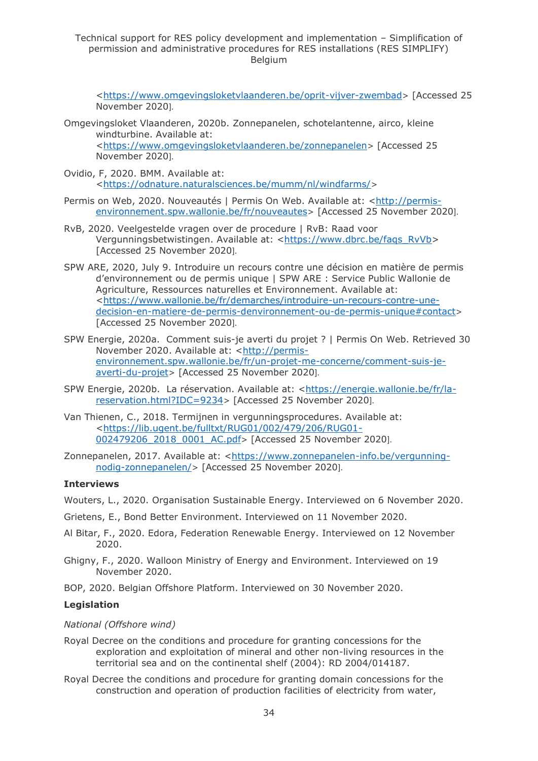Technical support for RES policy development and implementation – Simplification of permission and administrative procedures for RES installations (RES SIMPLIFY) Belgium

[<https://www.omgevingsloketvlaanderen.be/oprit-vijver-zwembad](https://www.omgevingsloketvlaanderen.be/oprit-vijver-zwembad)> [Accessed 25 November 2020].

- Omgevingsloket Vlaanderen, 2020b. Zonnepanelen, schotelantenne, airco, kleine windturbine. Available at: [<https://www.omgevingsloketvlaanderen.be/zonnepanelen](https://www.omgevingsloketvlaanderen.be/zonnepanelen)> [Accessed 25 November 2020].
- Ovidio, F, 2020. BMM. Available at: [<https://odnature.naturalsciences.be/mumm/nl/windfarms/](https://odnature.naturalsciences.be/mumm/nl/windfarms/)>
- Permis on Web, 2020. Nouveautés | Permis On Web. Available at: [<http://permis](http://permis-environnement.spw.wallonie.be/fr/nouveautes)[environnement.spw.wallonie.be/fr/nouveautes](http://permis-environnement.spw.wallonie.be/fr/nouveautes)> [Accessed 25 November 2020].
- RvB, 2020. Veelgestelde vragen over de procedure | RvB: Raad voor Vergunningsbetwistingen. Available at: [<https://www.dbrc.be/faqs\\_RvVb>](https://www.dbrc.be/faqs_RvVb) [Accessed 25 November 2020].
- SPW ARE, 2020, July 9. Introduire un recours contre une décision en matière de permis d'environnement ou de permis unique | SPW ARE : Service Public Wallonie de Agriculture, Ressources naturelles et Environnement. Available at: [<https://www.wallonie.be/fr/demarches/introduire-un-recours-contre-une](https://www.wallonie.be/fr/demarches/introduire-un-recours-contre-une-decision-en-matiere-de-permis-denvironnement-ou-de-permis-unique#contact)[decision-en-matiere-de-permis-denvironnement-ou-de-permis-unique#contact](https://www.wallonie.be/fr/demarches/introduire-un-recours-contre-une-decision-en-matiere-de-permis-denvironnement-ou-de-permis-unique#contact)> [Accessed 25 November 2020].
- SPW Energie, 2020a. Comment suis-je averti du projet ? | Permis On Web. Retrieved 30 November 2020. Available at: [<http://permis](http://permis-environnement.spw.wallonie.be/fr/un-projet-me-concerne/comment-suis-je-averti-du-projet)[environnement.spw.wallonie.be/fr/un-projet-me-concerne/comment-suis-je](http://permis-environnement.spw.wallonie.be/fr/un-projet-me-concerne/comment-suis-je-averti-du-projet)[averti-du-projet](http://permis-environnement.spw.wallonie.be/fr/un-projet-me-concerne/comment-suis-je-averti-du-projet)> [Accessed 25 November 2020].
- SPW Energie, 2020b. La réservation. Available at: [<https://energie.wallonie.be/fr/la](https://energie.wallonie.be/fr/la-reservation.html?IDC=9234)[reservation.html?IDC=9234](https://energie.wallonie.be/fr/la-reservation.html?IDC=9234)> [Accessed 25 November 2020].
- Van Thienen, C., 2018. Termijnen in vergunningsprocedures. Available at: [<https://lib.ugent.be/fulltxt/RUG01/002/479/206/RUG01-](https://lib.ugent.be/fulltxt/RUG01/002/479/206/RUG01-002479206_2018_0001_AC.pdf) [002479206\\_2018\\_0001\\_AC.pdf](https://lib.ugent.be/fulltxt/RUG01/002/479/206/RUG01-002479206_2018_0001_AC.pdf)> [Accessed 25 November 2020].
- Zonnepanelen, 2017. Available at: [<https://www.zonnepanelen-info.be/vergunning](https://www.zonnepanelen-info.be/vergunning-nodig-zonnepanelen/)[nodig-zonnepanelen/](https://www.zonnepanelen-info.be/vergunning-nodig-zonnepanelen/)> [Accessed 25 November 2020].

#### **Interviews**

Wouters, L., 2020. Organisation Sustainable Energy. Interviewed on 6 November 2020.

- Grietens, E., Bond Better Environment. Interviewed on 11 November 2020.
- Al Bitar, F., 2020. Edora, Federation Renewable Energy. Interviewed on 12 November 2020.
- Ghigny, F., 2020. Walloon Ministry of Energy and Environment. Interviewed on 19 November 2020.
- BOP, 2020. Belgian Offshore Platform. Interviewed on 30 November 2020.

#### **Legislation**

#### *National (Offshore wind)*

- Royal Decree on the conditions and procedure for granting concessions for the exploration and exploitation of mineral and other non-living resources in the territorial sea and on the continental shelf (2004): RD 2004/014187.
- Royal Decree the conditions and procedure for granting domain concessions for the construction and operation of production facilities of electricity from water,